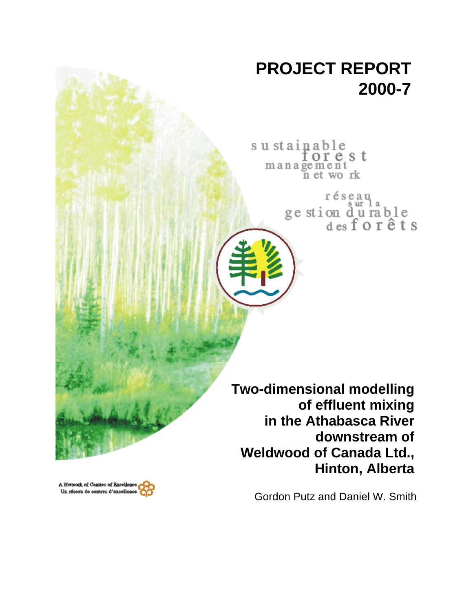# **PROJECT REPORT 2000-7**

sustainable orest management n et work

> réseau ge stion durable<br>desforêts

**Two-dimensional modelling of effluent mixing in the Athabasca River downstream of Weldwood of Canada Ltd., Hinton, Alberta**

A Network of Centres of Breeliane Un réseau de centres d'excellenc

Gordon Putz and Daniel W. Smith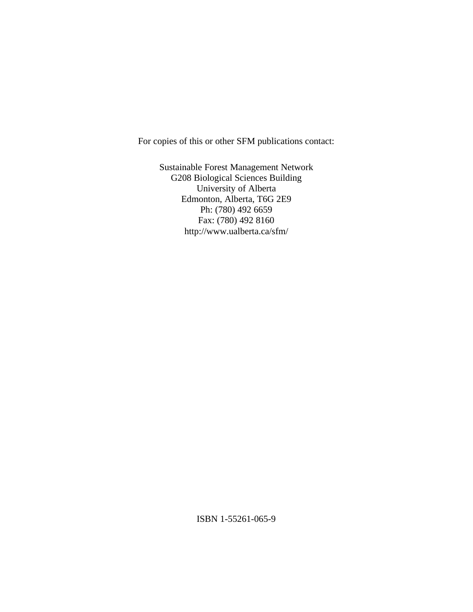For copies of this or other SFM publications contact:

Sustainable Forest Management Network G208 Biological Sciences Building University of Alberta Edmonton, Alberta, T6G 2E9 Ph: (780) 492 6659 Fax: (780) 492 8160 http://www.ualberta.ca/sfm/

ISBN 1-55261-065-9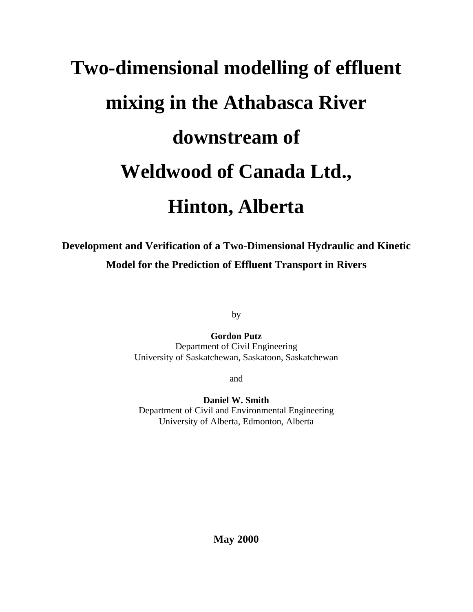# **Two-dimensional modelling of effluent mixing in the Athabasca River downstream of Weldwood of Canada Ltd., Hinton, Alberta**

# **Development and Verification of a Two-Dimensional Hydraulic and Kinetic Model for the Prediction of Effluent Transport in Rivers**

by

**Gordon Putz** Department of Civil Engineering University of Saskatchewan, Saskatoon, Saskatchewan

and

**Daniel W. Smith** Department of Civil and Environmental Engineering University of Alberta, Edmonton, Alberta

**May 2000**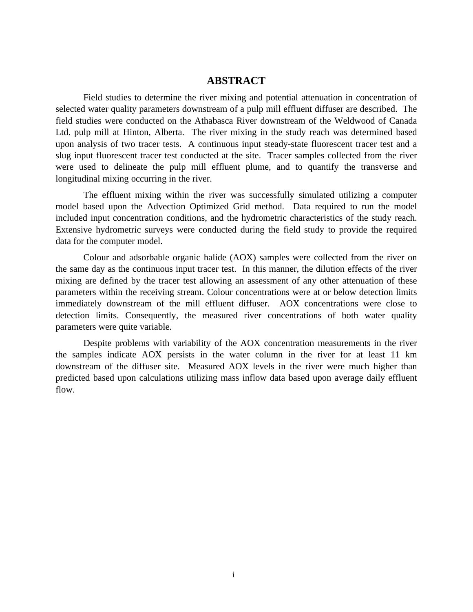### **ABSTRACT**

Field studies to determine the river mixing and potential attenuation in concentration of selected water quality parameters downstream of a pulp mill effluent diffuser are described. The field studies were conducted on the Athabasca River downstream of the Weldwood of Canada Ltd. pulp mill at Hinton, Alberta. The river mixing in the study reach was determined based upon analysis of two tracer tests. A continuous input steady-state fluorescent tracer test and a slug input fluorescent tracer test conducted at the site. Tracer samples collected from the river were used to delineate the pulp mill effluent plume, and to quantify the transverse and longitudinal mixing occurring in the river.

The effluent mixing within the river was successfully simulated utilizing a computer model based upon the Advection Optimized Grid method. Data required to run the model included input concentration conditions, and the hydrometric characteristics of the study reach. Extensive hydrometric surveys were conducted during the field study to provide the required data for the computer model.

Colour and adsorbable organic halide (AOX) samples were collected from the river on the same day as the continuous input tracer test. In this manner, the dilution effects of the river mixing are defined by the tracer test allowing an assessment of any other attenuation of these parameters within the receiving stream. Colour concentrations were at or below detection limits immediately downstream of the mill effluent diffuser. AOX concentrations were close to detection limits. Consequently, the measured river concentrations of both water quality parameters were quite variable.

Despite problems with variability of the AOX concentration measurements in the river the samples indicate AOX persists in the water column in the river for at least 11 km downstream of the diffuser site. Measured AOX levels in the river were much higher than predicted based upon calculations utilizing mass inflow data based upon average daily effluent flow.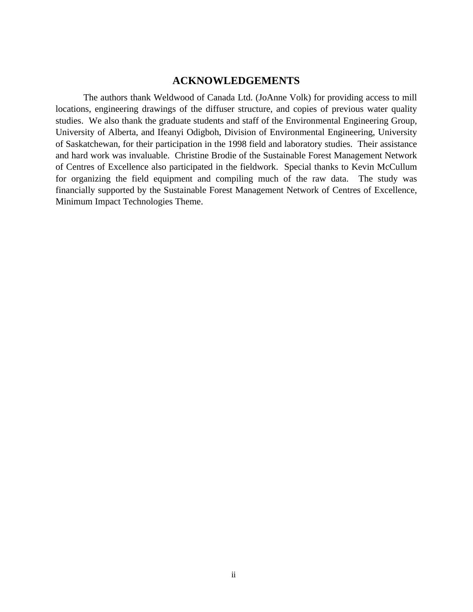# **ACKNOWLEDGEMENTS**

The authors thank Weldwood of Canada Ltd. (JoAnne Volk) for providing access to mill locations, engineering drawings of the diffuser structure, and copies of previous water quality studies. We also thank the graduate students and staff of the Environmental Engineering Group, University of Alberta, and Ifeanyi Odigboh, Division of Environmental Engineering, University of Saskatchewan, for their participation in the 1998 field and laboratory studies. Their assistance and hard work was invaluable. Christine Brodie of the Sustainable Forest Management Network of Centres of Excellence also participated in the fieldwork. Special thanks to Kevin McCullum for organizing the field equipment and compiling much of the raw data. The study was financially supported by the Sustainable Forest Management Network of Centres of Excellence, Minimum Impact Technologies Theme.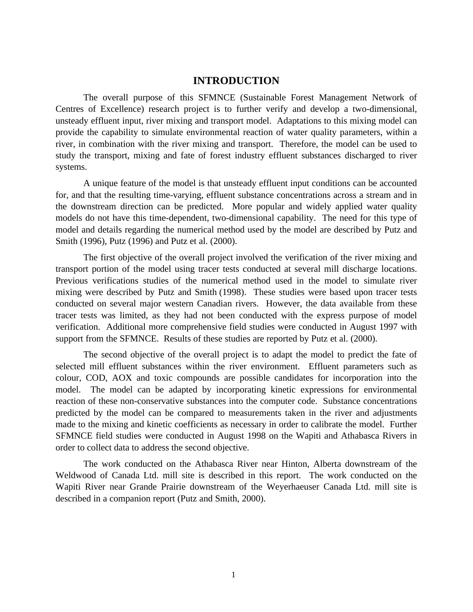# **INTRODUCTION**

The overall purpose of this SFMNCE (Sustainable Forest Management Network of Centres of Excellence) research project is to further verify and develop a two-dimensional, unsteady effluent input, river mixing and transport model. Adaptations to this mixing model can provide the capability to simulate environmental reaction of water quality parameters, within a river, in combination with the river mixing and transport. Therefore, the model can be used to study the transport, mixing and fate of forest industry effluent substances discharged to river systems.

A unique feature of the model is that unsteady effluent input conditions can be accounted for, and that the resulting time-varying, effluent substance concentrations across a stream and in the downstream direction can be predicted. More popular and widely applied water quality models do not have this time-dependent, two-dimensional capability. The need for this type of model and details regarding the numerical method used by the model are described by Putz and Smith (1996), Putz (1996) and Putz et al. (2000).

The first objective of the overall project involved the verification of the river mixing and transport portion of the model using tracer tests conducted at several mill discharge locations. Previous verifications studies of the numerical method used in the model to simulate river mixing were described by Putz and Smith (1998). These studies were based upon tracer tests conducted on several major western Canadian rivers. However, the data available from these tracer tests was limited, as they had not been conducted with the express purpose of model verification. Additional more comprehensive field studies were conducted in August 1997 with support from the SFMNCE. Results of these studies are reported by Putz et al. (2000).

The second objective of the overall project is to adapt the model to predict the fate of selected mill effluent substances within the river environment. Effluent parameters such as colour, COD, AOX and toxic compounds are possible candidates for incorporation into the model. The model can be adapted by incorporating kinetic expressions for environmental reaction of these non-conservative substances into the computer code. Substance concentrations predicted by the model can be compared to measurements taken in the river and adjustments made to the mixing and kinetic coefficients as necessary in order to calibrate the model. Further SFMNCE field studies were conducted in August 1998 on the Wapiti and Athabasca Rivers in order to collect data to address the second objective.

The work conducted on the Athabasca River near Hinton, Alberta downstream of the Weldwood of Canada Ltd. mill site is described in this report. The work conducted on the Wapiti River near Grande Prairie downstream of the Weyerhaeuser Canada Ltd. mill site is described in a companion report (Putz and Smith, 2000).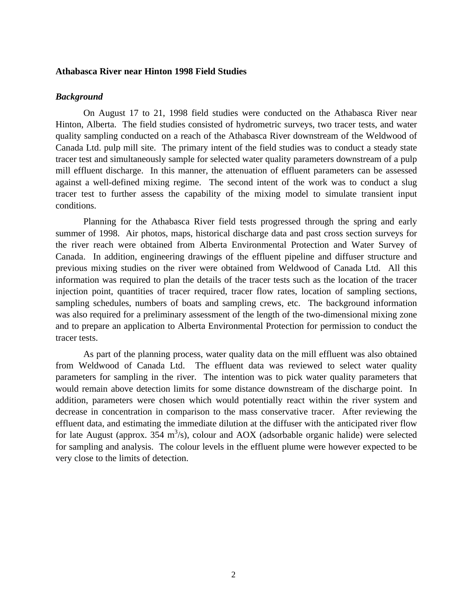### **Athabasca River near Hinton 1998 Field Studies**

### *Background*

On August 17 to 21, 1998 field studies were conducted on the Athabasca River near Hinton, Alberta. The field studies consisted of hydrometric surveys, two tracer tests, and water quality sampling conducted on a reach of the Athabasca River downstream of the Weldwood of Canada Ltd. pulp mill site. The primary intent of the field studies was to conduct a steady state tracer test and simultaneously sample for selected water quality parameters downstream of a pulp mill effluent discharge. In this manner, the attenuation of effluent parameters can be assessed against a well-defined mixing regime. The second intent of the work was to conduct a slug tracer test to further assess the capability of the mixing model to simulate transient input conditions.

Planning for the Athabasca River field tests progressed through the spring and early summer of 1998. Air photos, maps, historical discharge data and past cross section surveys for the river reach were obtained from Alberta Environmental Protection and Water Survey of Canada. In addition, engineering drawings of the effluent pipeline and diffuser structure and previous mixing studies on the river were obtained from Weldwood of Canada Ltd. All this information was required to plan the details of the tracer tests such as the location of the tracer injection point, quantities of tracer required, tracer flow rates, location of sampling sections, sampling schedules, numbers of boats and sampling crews, etc. The background information was also required for a preliminary assessment of the length of the two-dimensional mixing zone and to prepare an application to Alberta Environmental Protection for permission to conduct the tracer tests.

As part of the planning process, water quality data on the mill effluent was also obtained from Weldwood of Canada Ltd. The effluent data was reviewed to select water quality parameters for sampling in the river. The intention was to pick water quality parameters that would remain above detection limits for some distance downstream of the discharge point. In addition, parameters were chosen which would potentially react within the river system and decrease in concentration in comparison to the mass conservative tracer. After reviewing the effluent data, and estimating the immediate dilution at the diffuser with the anticipated river flow for late August (approx. 354  $m^3$ /s), colour and AOX (adsorbable organic halide) were selected for sampling and analysis. The colour levels in the effluent plume were however expected to be very close to the limits of detection.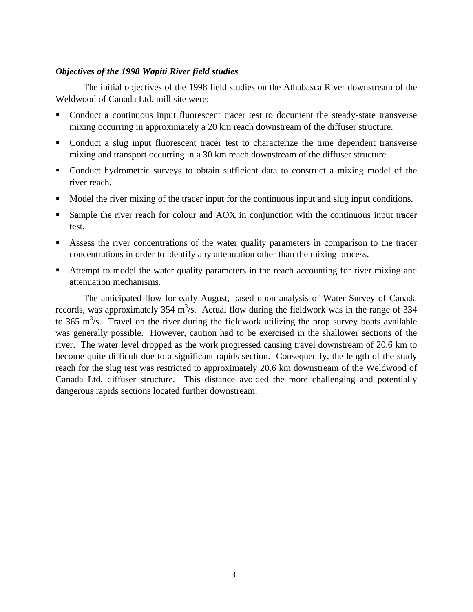### *Objectives of the 1998 Wapiti River field studies*

The initial objectives of the 1998 field studies on the Athabasca River downstream of the Weldwood of Canada Ltd. mill site were:

- Conduct a continuous input fluorescent tracer test to document the steady-state transverse mixing occurring in approximately a 20 km reach downstream of the diffuser structure.
- Conduct a slug input fluorescent tracer test to characterize the time dependent transverse mixing and transport occurring in a 30 km reach downstream of the diffuser structure.
- Conduct hydrometric surveys to obtain sufficient data to construct a mixing model of the river reach.
- Model the river mixing of the tracer input for the continuous input and slug input conditions.
- ß Sample the river reach for colour and AOX in conjunction with the continuous input tracer test.
- ß Assess the river concentrations of the water quality parameters in comparison to the tracer concentrations in order to identify any attenuation other than the mixing process.
- ß Attempt to model the water quality parameters in the reach accounting for river mixing and attenuation mechanisms.

The anticipated flow for early August, based upon analysis of Water Survey of Canada records, was approximately 354 m<sup>3</sup>/s. Actual flow during the fieldwork was in the range of 334 to 365 m<sup>3</sup>/s. Travel on the river during the fieldwork utilizing the prop survey boats available was generally possible. However, caution had to be exercised in the shallower sections of the river. The water level dropped as the work progressed causing travel downstream of 20.6 km to become quite difficult due to a significant rapids section. Consequently, the length of the study reach for the slug test was restricted to approximately 20.6 km downstream of the Weldwood of Canada Ltd. diffuser structure. This distance avoided the more challenging and potentially dangerous rapids sections located further downstream.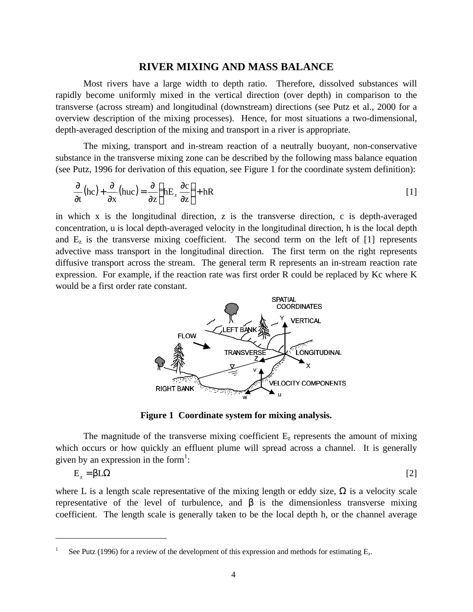### **RIVER MIXING AND MASS BALANCE**

Most rivers have a large width to depth ratio. Therefore, dissolved substances will rapidly become uniformly mixed in the vertical direction (over depth) in comparison to the transverse (across stream) and longitudinal (downstream) directions (see Putz et al., 2000 for a overview description of the mixing processes). Hence, for most situations a two-dimensional, depth-averaged description of the mixing and transport in a river is appropriate.

The mixing, transport and in-stream reaction of a neutrally buoyant, non-conservative substance in the transverse mixing zone can be described by the following mass balance equation (see Putz, 1996 for derivation of this equation, see Figure 1 for the coordinate system definition):

$$
\frac{\partial}{\partial t}(\text{hc}) + \frac{\partial}{\partial x}(\text{huc}) = \frac{\partial}{\partial z} \left( \text{hE}_z \frac{\partial c}{\partial z} \right) + \text{hR}
$$
 [1]

in which x is the longitudinal direction, z is the transverse direction, c is depth-averaged concentration, u is local depth-averaged velocity in the longitudinal direction, h is the local depth and  $E<sub>z</sub>$  is the transverse mixing coefficient. The second term on the left of [1] represents advective mass transport in the longitudinal direction. The first term on the right represents diffusive transport across the stream. The general term R represents an in-stream reaction rate expression. For example, if the reaction rate was first order R could be replaced by Kc where K would be a first order rate constant.



**Figure 1 Coordinate system for mixing analysis.**

The magnitude of the transverse mixing coefficient  $E_z$  represents the amount of mixing which occurs or how quickly an effluent plume will spread across a channel. It is generally given by an expression in the form<sup>1</sup>:

$$
E_z = \beta L \Omega
$$

where L is a length scale representative of the mixing length or eddy size,  $\Omega$  is a velocity scale representative of the level of turbulence, and  $\beta$  is the dimensionless transverse mixing coefficient. The length scale is generally taken to be the local depth h, or the channel average

 $\overline{a}$ 

<sup>1</sup> See Putz (1996) for a review of the development of this expression and methods for estimating  $E_z$ .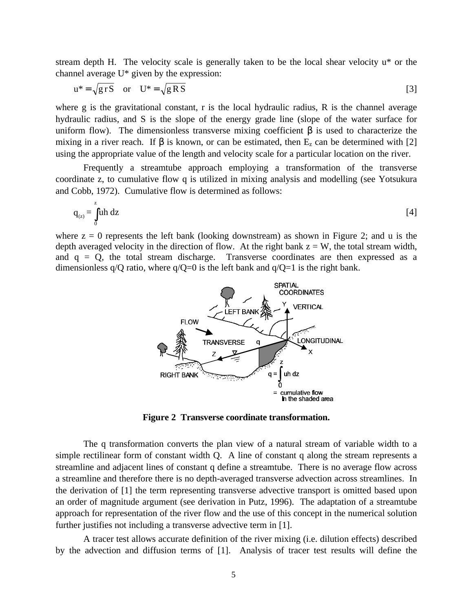stream depth H. The velocity scale is generally taken to be the local shear velocity u\* or the channel average U\* given by the expression:

$$
u^* = \sqrt{grS} \quad \text{or} \quad U^* = \sqrt{gRS}
$$

where g is the gravitational constant, r is the local hydraulic radius, R is the channel average hydraulic radius, and S is the slope of the energy grade line (slope of the water surface for uniform flow). The dimensionless transverse mixing coefficient  $\beta$  is used to characterize the mixing in a river reach. If  $\beta$  is known, or can be estimated, then  $E_z$  can be determined with [2] using the appropriate value of the length and velocity scale for a particular location on the river.

Frequently a streamtube approach employing a transformation of the transverse coordinate z, to cumulative flow q is utilized in mixing analysis and modelling (see Yotsukura and Cobb, 1972). Cumulative flow is determined as follows:

$$
q_{(z)} = \int_{0}^{z} uh \, dz \tag{4}
$$

where  $z = 0$  represents the left bank (looking downstream) as shown in Figure 2; and u is the depth averaged velocity in the direction of flow. At the right bank  $z = W$ , the total stream width, and  $q = Q$ , the total stream discharge. Transverse coordinates are then expressed as a dimensionless  $q/Q$  ratio, where  $q/Q=0$  is the left bank and  $q/Q=1$  is the right bank.



**Figure 2 Transverse coordinate transformation.**

The q transformation converts the plan view of a natural stream of variable width to a simple rectilinear form of constant width Q. A line of constant q along the stream represents a streamline and adjacent lines of constant q define a streamtube. There is no average flow across a streamline and therefore there is no depth-averaged transverse advection across streamlines. In the derivation of [1] the term representing transverse advective transport is omitted based upon an order of magnitude argument (see derivation in Putz, 1996). The adaptation of a streamtube approach for representation of the river flow and the use of this concept in the numerical solution further justifies not including a transverse advective term in [1].

A tracer test allows accurate definition of the river mixing (i.e. dilution effects) described by the advection and diffusion terms of [1]. Analysis of tracer test results will define the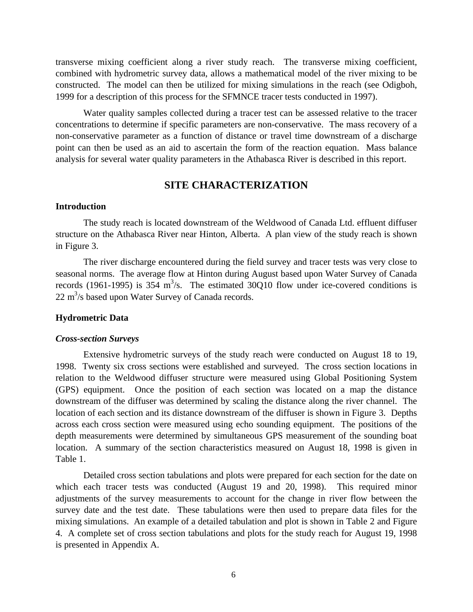transverse mixing coefficient along a river study reach. The transverse mixing coefficient, combined with hydrometric survey data, allows a mathematical model of the river mixing to be constructed. The model can then be utilized for mixing simulations in the reach (see Odigboh, 1999 for a description of this process for the SFMNCE tracer tests conducted in 1997).

Water quality samples collected during a tracer test can be assessed relative to the tracer concentrations to determine if specific parameters are non-conservative. The mass recovery of a non-conservative parameter as a function of distance or travel time downstream of a discharge point can then be used as an aid to ascertain the form of the reaction equation. Mass balance analysis for several water quality parameters in the Athabasca River is described in this report.

# **SITE CHARACTERIZATION**

### **Introduction**

The study reach is located downstream of the Weldwood of Canada Ltd. effluent diffuser structure on the Athabasca River near Hinton, Alberta. A plan view of the study reach is shown in Figure 3.

The river discharge encountered during the field survey and tracer tests was very close to seasonal norms. The average flow at Hinton during August based upon Water Survey of Canada records (1961-1995) is 354  $m^3/s$ . The estimated 30Q10 flow under ice-covered conditions is  $22 \text{ m}^3$ /s based upon Water Survey of Canada records.

### **Hydrometric Data**

### *Cross-section Surveys*

Extensive hydrometric surveys of the study reach were conducted on August 18 to 19, 1998. Twenty six cross sections were established and surveyed. The cross section locations in relation to the Weldwood diffuser structure were measured using Global Positioning System (GPS) equipment. Once the position of each section was located on a map the distance downstream of the diffuser was determined by scaling the distance along the river channel. The location of each section and its distance downstream of the diffuser is shown in Figure 3. Depths across each cross section were measured using echo sounding equipment. The positions of the depth measurements were determined by simultaneous GPS measurement of the sounding boat location. A summary of the section characteristics measured on August 18, 1998 is given in Table 1.

Detailed cross section tabulations and plots were prepared for each section for the date on which each tracer tests was conducted (August 19 and 20, 1998). This required minor adjustments of the survey measurements to account for the change in river flow between the survey date and the test date. These tabulations were then used to prepare data files for the mixing simulations. An example of a detailed tabulation and plot is shown in Table 2 and Figure 4. A complete set of cross section tabulations and plots for the study reach for August 19, 1998 is presented in Appendix A.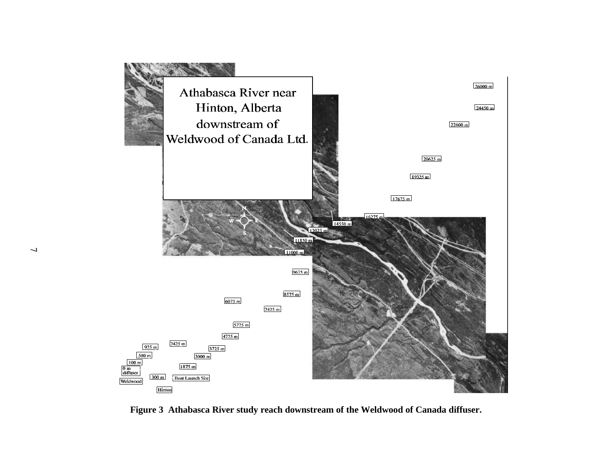

**Figure 3 Athabasca River study reach downstream of the Weldwood of Canada diffuser.**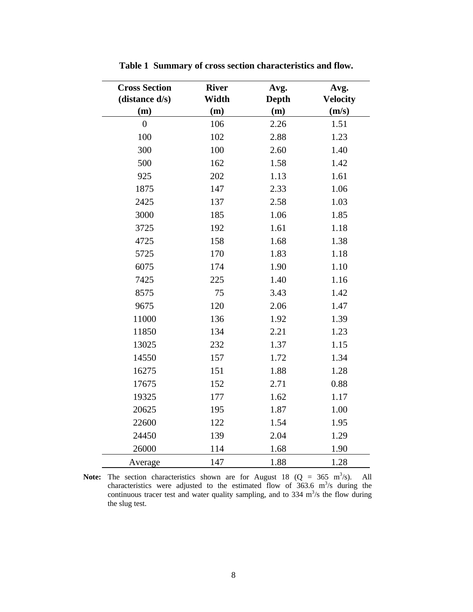| <b>Cross Section</b><br>(distance d/s) | <b>River</b><br>Width | Avg.<br><b>Depth</b> | Avg.<br><b>Velocity</b> |
|----------------------------------------|-----------------------|----------------------|-------------------------|
| (m)                                    | (m)                   | (m)                  | (m/s)                   |
| $\overline{0}$                         | 106                   | 2.26                 | 1.51                    |
| 100                                    | 102                   | 2.88                 | 1.23                    |
| 300                                    | 100                   | 2.60                 | 1.40                    |
| 500                                    | 162                   | 1.58                 | 1.42                    |
| 925                                    | 202                   | 1.13                 | 1.61                    |
| 1875                                   | 147                   | 2.33                 | 1.06                    |
| 2425                                   | 137                   | 2.58                 | 1.03                    |
| 3000                                   | 185                   | 1.06                 | 1.85                    |
| 3725                                   | 192                   | 1.61                 | 1.18                    |
| 4725                                   | 158                   | 1.68                 | 1.38                    |
| 5725                                   | 170                   | 1.83                 | 1.18                    |
| 6075                                   | 174                   | 1.90                 | 1.10                    |
| 7425                                   | 225                   | 1.40                 | 1.16                    |
| 8575                                   | 75                    | 3.43                 | 1.42                    |
| 9675                                   | 120                   | 2.06                 | 1.47                    |
| 11000                                  | 136                   | 1.92                 | 1.39                    |
| 11850                                  | 134                   | 2.21                 | 1.23                    |
| 13025                                  | 232                   | 1.37                 | 1.15                    |
| 14550                                  | 157                   | 1.72                 | 1.34                    |
| 16275                                  | 151                   | 1.88                 | 1.28                    |
| 17675                                  | 152                   | 2.71                 | 0.88                    |
| 19325                                  | 177                   | 1.62                 | 1.17                    |
| 20625                                  | 195                   | 1.87                 | 1.00                    |
| 22600                                  | 122                   | 1.54                 | 1.95                    |
| 24450                                  | 139                   | 2.04                 | 1.29                    |
| 26000                                  | 114                   | 1.68                 | 1.90                    |
| Average                                | 147                   | 1.88                 | 1.28                    |

**Table 1 Summary of cross section characteristics and flow.**

**Note:** The section characteristics shown are for August 18  $(Q = 365 \text{ m}^3/\text{s})$ . All characteristics were adjusted to the estimated flow of 363.6  $m^3/s$  during the continuous tracer test and water quality sampling, and to  $334 \text{ m}^3/\text{s}$  the flow during the slug test.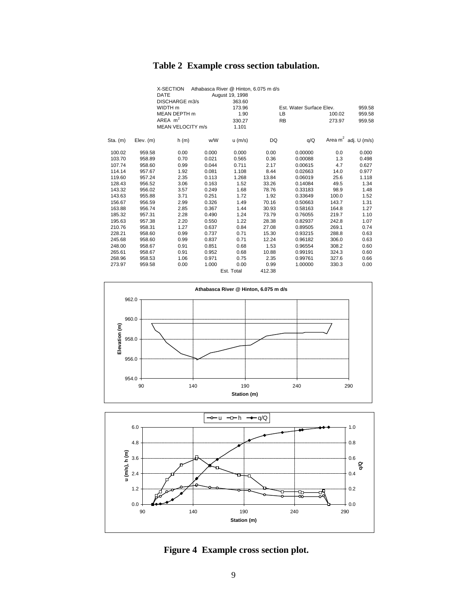# **Table 2 Example cross section tabulation.**

|            |             | X-SECTION         |       | Athabasca River @ Hinton, 6.075 m d/s |        |                          |        |                         |
|------------|-------------|-------------------|-------|---------------------------------------|--------|--------------------------|--------|-------------------------|
|            |             | <b>DATE</b>       |       | August 19, 1998                       |        |                          |        |                         |
|            |             | DISCHARGE m3/s    |       | 363.60                                |        |                          |        |                         |
|            |             | WIDTH m           |       | 173.96                                |        | Est. Water Surface Elev. |        | 959.58                  |
|            |             | MEAN DEPTH m      |       | 1.90                                  |        | LB.                      | 100.02 | 959.58                  |
|            |             | AREA $m2$         |       | 330.27                                |        | <b>RB</b>                | 273.97 | 959.58                  |
|            |             | MEAN VELOCITY m/s |       | 1.101                                 |        |                          |        |                         |
| $Sta.$ (m) | $Elev.$ (m) | h(m)              | w/W   | $u$ (m/s)                             | DQ     | q/Q                      |        | Area $m^2$ adj. U (m/s) |
| 100.02     | 959.58      | 0.00              | 0.000 | 0.000                                 | 0.00   | 0.00000                  | 0.0    | 0.000                   |
| 103.70     | 958.89      | 0.70              | 0.021 | 0.565                                 | 0.36   | 0.00088                  | 1.3    | 0.498                   |
| 107.74     | 958.60      | 0.99              | 0.044 | 0.711                                 | 2.17   | 0.00615                  | 4.7    | 0.627                   |
| 114.14     | 957.67      | 1.92              | 0.081 | 1.108                                 | 8.44   | 0.02663                  | 14.0   | 0.977                   |
| 119.60     | 957.24      | 2.35              | 0.113 | 1.268                                 | 13.84  | 0.06019                  | 25.6   | 1.118                   |
| 128.43     | 956.52      | 3.06              | 0.163 | 1.52                                  | 33.26  | 0.14084                  | 49.5   | 1.34                    |
| 143.32     | 956.02      | 3.57              | 0.249 | 1.68                                  | 78.76  | 0.33183                  | 98.9   | 1.48                    |
| 143.63     | 955.88      | 3.71              | 0.251 | 1.72                                  | 1.92   | 0.33649                  | 100.0  | 1.52                    |
| 156.67     | 956.59      | 2.99              | 0.326 | 1.49                                  | 70.16  | 0.50663                  | 143.7  | 1.31                    |
| 163.88     | 956.74      | 2.85              | 0.367 | 1.44                                  | 30.93  | 0.58163                  | 164.8  | 1.27                    |
| 185.32     | 957.31      | 2.28              | 0.490 | 1.24                                  | 73.79  | 0.76055                  | 219.7  | 1.10                    |
| 195.63     | 957.38      | 2.20              | 0.550 | 1.22                                  | 28.38  | 0.82937                  | 242.8  | 1.07                    |
| 210.76     | 958.31      | 1.27              | 0.637 | 0.84                                  | 27.08  | 0.89505                  | 269.1  | 0.74                    |
| 228.21     | 958.60      | 0.99              | 0.737 | 0.71                                  | 15.30  | 0.93215                  | 288.8  | 0.63                    |
| 245.68     | 958.60      | 0.99              | 0.837 | 0.71                                  | 12.24  | 0.96182                  | 306.0  | 0.63                    |
| 248.00     | 958.67      | 0.91              | 0.851 | 0.68                                  | 1.53   | 0.96554                  | 308.2  | 0.60                    |
| 265.61     | 958.67      | 0.91              | 0.952 | 0.68                                  | 10.88  | 0.99191                  | 324.3  | 0.60                    |
| 268.96     | 958.53      | 1.06              | 0.971 | 0.75                                  | 2.35   | 0.99761                  | 327.6  | 0.66                    |
| 273.97     | 959.58      | 0.00              | 1.000 | 0.00                                  | 0.99   | 1.00000                  | 330.3  | 0.00                    |
|            |             |                   |       | Est. Total                            | 412.38 |                          |        |                         |





**Figure 4 Example cross section plot.**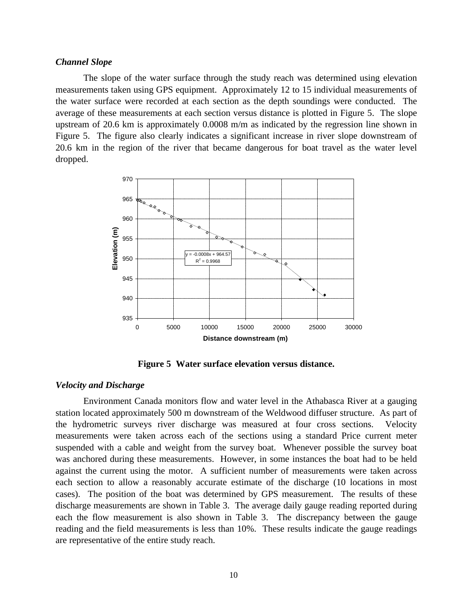### *Channel Slope*

The slope of the water surface through the study reach was determined using elevation measurements taken using GPS equipment. Approximately 12 to 15 individual measurements of the water surface were recorded at each section as the depth soundings were conducted. The average of these measurements at each section versus distance is plotted in Figure 5. The slope upstream of 20.6 km is approximately 0.0008 m/m as indicated by the regression line shown in Figure 5. The figure also clearly indicates a significant increase in river slope downstream of 20.6 km in the region of the river that became dangerous for boat travel as the water level dropped.



**Figure 5 Water surface elevation versus distance.**

### *Velocity and Discharge*

Environment Canada monitors flow and water level in the Athabasca River at a gauging station located approximately 500 m downstream of the Weldwood diffuser structure. As part of the hydrometric surveys river discharge was measured at four cross sections. Velocity measurements were taken across each of the sections using a standard Price current meter suspended with a cable and weight from the survey boat. Whenever possible the survey boat was anchored during these measurements. However, in some instances the boat had to be held against the current using the motor. A sufficient number of measurements were taken across each section to allow a reasonably accurate estimate of the discharge (10 locations in most cases). The position of the boat was determined by GPS measurement. The results of these discharge measurements are shown in Table 3. The average daily gauge reading reported during each the flow measurement is also shown in Table 3. The discrepancy between the gauge reading and the field measurements is less than 10%. These results indicate the gauge readings are representative of the entire study reach.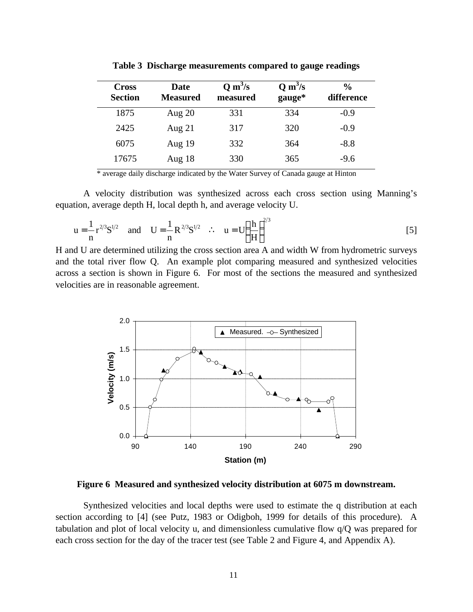| <b>Cross</b><br><b>Section</b> | Date<br><b>Measured</b> | $Q \, \text{m}^3/\text{s}$<br>measured | $Q \, \text{m}^3/\text{s}$<br>gauge* | $\frac{6}{9}$<br>difference |
|--------------------------------|-------------------------|----------------------------------------|--------------------------------------|-----------------------------|
| 1875                           | Aug $20$                | 331                                    | 334                                  | $-0.9$                      |
| 2425                           | Aug $21$                | 317                                    | 320                                  | $-0.9$                      |
| 6075                           | Aug $19$                | 332                                    | 364                                  | $-8.8$                      |
| 17675                          | Aug $18$                | 330                                    | 365                                  | $-9.6$                      |

**Table 3 Discharge measurements compared to gauge readings**

\* average daily discharge indicated by the Water Survey of Canada gauge at Hinton

A velocity distribution was synthesized across each cross section using Manning's equation, average depth H, local depth h, and average velocity U.

$$
u = \frac{1}{n} r^{2/3} S^{1/2}
$$
 and  $U = \frac{1}{n} R^{2/3} S^{1/2}$  :  $u = U \left(\frac{h}{H}\right)^{2/3}$  [5]

H and U are determined utilizing the cross section area A and width W from hydrometric surveys and the total river flow Q. An example plot comparing measured and synthesized velocities across a section is shown in Figure 6. For most of the sections the measured and synthesized velocities are in reasonable agreement.



**Figure 6 Measured and synthesized velocity distribution at 6075 m downstream.**

Synthesized velocities and local depths were used to estimate the q distribution at each section according to [4] (see Putz, 1983 or Odigboh, 1999 for details of this procedure). A tabulation and plot of local velocity u, and dimensionless cumulative flow q/Q was prepared for each cross section for the day of the tracer test (see Table 2 and Figure 4, and Appendix A).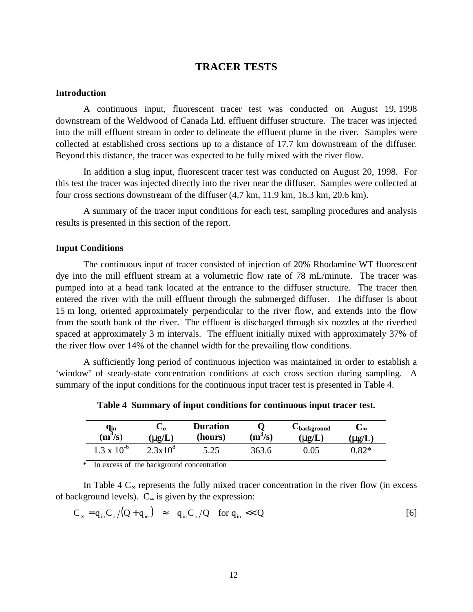### **TRACER TESTS**

### **Introduction**

A continuous input, fluorescent tracer test was conducted on August 19, 1998 downstream of the Weldwood of Canada Ltd. effluent diffuser structure. The tracer was injected into the mill effluent stream in order to delineate the effluent plume in the river. Samples were collected at established cross sections up to a distance of 17.7 km downstream of the diffuser. Beyond this distance, the tracer was expected to be fully mixed with the river flow.

In addition a slug input, fluorescent tracer test was conducted on August 20, 1998. For this test the tracer was injected directly into the river near the diffuser. Samples were collected at four cross sections downstream of the diffuser (4.7 km, 11.9 km, 16.3 km, 20.6 km).

A summary of the tracer input conditions for each test, sampling procedures and analysis results is presented in this section of the report.

### **Input Conditions**

The continuous input of tracer consisted of injection of 20% Rhodamine WT fluorescent dye into the mill effluent stream at a volumetric flow rate of 78 mL/minute. The tracer was pumped into at a head tank located at the entrance to the diffuser structure. The tracer then entered the river with the mill effluent through the submerged diffuser. The diffuser is about 15 m long, oriented approximately perpendicular to the river flow, and extends into the flow from the south bank of the river. The effluent is discharged through six nozzles at the riverbed spaced at approximately 3 m intervals. The effluent initially mixed with approximately 37% of the river flow over 14% of the channel width for the prevailing flow conditions.

A sufficiently long period of continuous injection was maintained in order to establish a 'window' of steady-state concentration conditions at each cross section during sampling. A summary of the input conditions for the continuous input tracer test is presented in Table 4.

**qin**  $(m^3/s)$ **C<sup>o</sup> (**μ**g/L) Duration (hours) Q**  $(m^3/s)$ **Cbackground (**μ**g/L) C**<sup>∞</sup> **(**μ**g/L)**  $1.3 \times 10^{-6}$   $2.3 \times 10^{8}$ 5.25 363.6 0.05 0.82\*

**Table 4 Summary of input conditions for continuous input tracer test.**

\* In excess of the background concentration

In Table 4  $C_{\infty}$  represents the fully mixed tracer concentration in the river flow (in excess of background levels).  $C_{\infty}$  is given by the expression:

$$
C_{\infty} = q_{in} C_{o} / (Q + q_{in}) \approx q_{in} C_{o} / Q \quad \text{for } q_{in} << Q
$$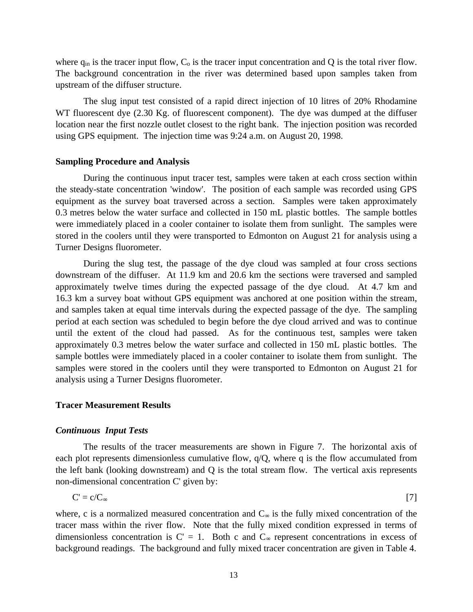where  $q_{in}$  is the tracer input flow,  $C_0$  is the tracer input concentration and Q is the total river flow. The background concentration in the river was determined based upon samples taken from upstream of the diffuser structure.

The slug input test consisted of a rapid direct injection of 10 litres of 20% Rhodamine WT fluorescent dye (2.30 Kg. of fluorescent component). The dye was dumped at the diffuser location near the first nozzle outlet closest to the right bank. The injection position was recorded using GPS equipment. The injection time was 9:24 a.m. on August 20, 1998.

### **Sampling Procedure and Analysis**

During the continuous input tracer test, samples were taken at each cross section within the steady-state concentration 'window'. The position of each sample was recorded using GPS equipment as the survey boat traversed across a section. Samples were taken approximately 0.3 metres below the water surface and collected in 150 mL plastic bottles. The sample bottles were immediately placed in a cooler container to isolate them from sunlight. The samples were stored in the coolers until they were transported to Edmonton on August 21 for analysis using a Turner Designs fluorometer.

During the slug test, the passage of the dye cloud was sampled at four cross sections downstream of the diffuser. At 11.9 km and 20.6 km the sections were traversed and sampled approximately twelve times during the expected passage of the dye cloud. At 4.7 km and 16.3 km a survey boat without GPS equipment was anchored at one position within the stream, and samples taken at equal time intervals during the expected passage of the dye. The sampling period at each section was scheduled to begin before the dye cloud arrived and was to continue until the extent of the cloud had passed. As for the continuous test, samples were taken approximately 0.3 metres below the water surface and collected in 150 mL plastic bottles. The sample bottles were immediately placed in a cooler container to isolate them from sunlight. The samples were stored in the coolers until they were transported to Edmonton on August 21 for analysis using a Turner Designs fluorometer.

### **Tracer Measurement Results**

### *Continuous Input Tests*

The results of the tracer measurements are shown in Figure 7. The horizontal axis of each plot represents dimensionless cumulative flow,  $q/Q$ , where q is the flow accumulated from the left bank (looking downstream) and Q is the total stream flow. The vertical axis represents non-dimensional concentration C' given by:

$$
C' = c/C_{\infty} \tag{7}
$$

where, c is a normalized measured concentration and  $C_{\infty}$  is the fully mixed concentration of the tracer mass within the river flow. Note that the fully mixed condition expressed in terms of dimensionless concentration is  $C' = 1$ . Both c and  $C_{\infty}$  represent concentrations in excess of background readings. The background and fully mixed tracer concentration are given in Table 4.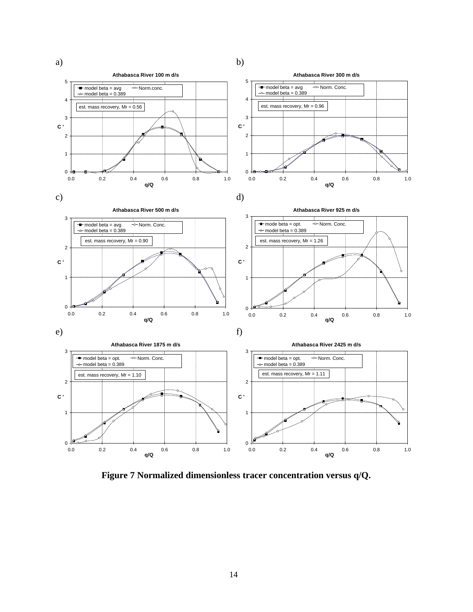

**Figure 7 Normalized dimensionless tracer concentration versus q/Q.**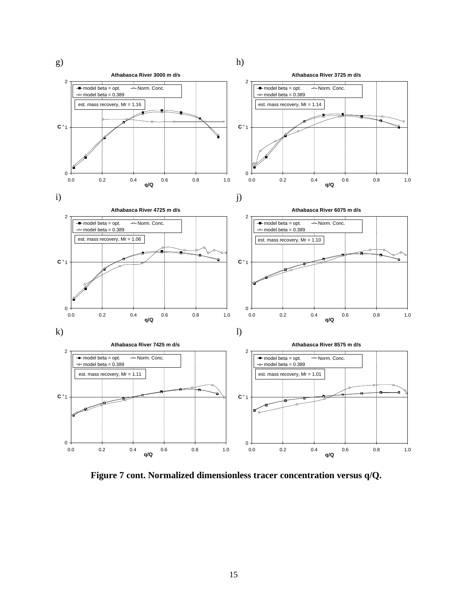

**Figure 7 cont. Normalized dimensionless tracer concentration versus q/Q.**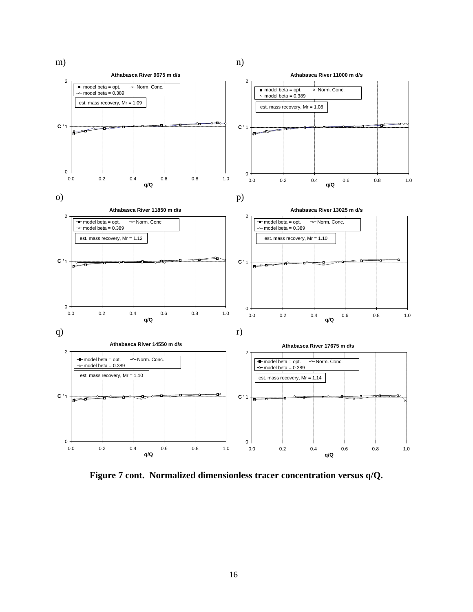

**Figure 7 cont. Normalized dimensionless tracer concentration versus q/Q.**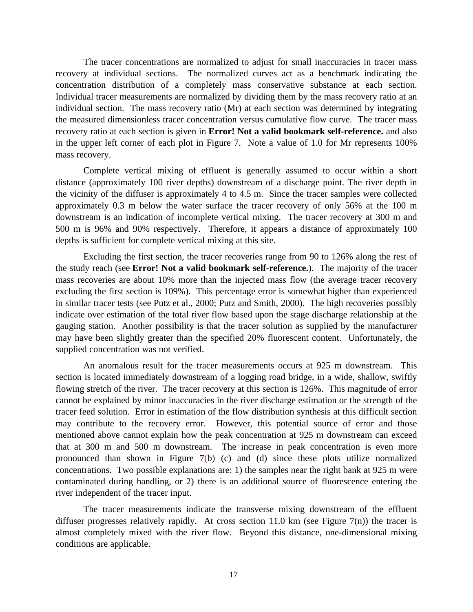The tracer concentrations are normalized to adjust for small inaccuracies in tracer mass recovery at individual sections. The normalized curves act as a benchmark indicating the concentration distribution of a completely mass conservative substance at each section. Individual tracer measurements are normalized by dividing them by the mass recovery ratio at an individual section. The mass recovery ratio (Mr) at each section was determined by integrating the measured dimensionless tracer concentration versus cumulative flow curve. The tracer mass recovery ratio at each section is given in **Error! Not a valid bookmark self-reference.** and also in the upper left corner of each plot in Figure 7. Note a value of 1.0 for Mr represents 100% mass recovery.

Complete vertical mixing of effluent is generally assumed to occur within a short distance (approximately 100 river depths) downstream of a discharge point. The river depth in the vicinity of the diffuser is approximately 4 to 4.5 m. Since the tracer samples were collected approximately 0.3 m below the water surface the tracer recovery of only 56% at the 100 m downstream is an indication of incomplete vertical mixing. The tracer recovery at 300 m and 500 m is 96% and 90% respectively. Therefore, it appears a distance of approximately 100 depths is sufficient for complete vertical mixing at this site.

Excluding the first section, the tracer recoveries range from 90 to 126% along the rest of the study reach (see **Error! Not a valid bookmark self-reference.**). The majority of the tracer mass recoveries are about 10% more than the injected mass flow (the average tracer recovery excluding the first section is 109%). This percentage error is somewhat higher than experienced in similar tracer tests (see Putz et al., 2000; Putz and Smith, 2000). The high recoveries possibly indicate over estimation of the total river flow based upon the stage discharge relationship at the gauging station. Another possibility is that the tracer solution as supplied by the manufacturer may have been slightly greater than the specified 20% fluorescent content. Unfortunately, the supplied concentration was not verified.

An anomalous result for the tracer measurements occurs at 925 m downstream. This section is located immediately downstream of a logging road bridge, in a wide, shallow, swiftly flowing stretch of the river. The tracer recovery at this section is 126%. This magnitude of error cannot be explained by minor inaccuracies in the river discharge estimation or the strength of the tracer feed solution. Error in estimation of the flow distribution synthesis at this difficult section may contribute to the recovery error. However, this potential source of error and those mentioned above cannot explain how the peak concentration at 925 m downstream can exceed that at 300 m and 500 m downstream. The increase in peak concentration is even more pronounced than shown in Figure 7(b) (c) and (d) since these plots utilize normalized concentrations. Two possible explanations are: 1) the samples near the right bank at 925 m were contaminated during handling, or 2) there is an additional source of fluorescence entering the river independent of the tracer input.

The tracer measurements indicate the transverse mixing downstream of the effluent diffuser progresses relatively rapidly. At cross section 11.0 km (see Figure  $7(n)$ ) the tracer is almost completely mixed with the river flow. Beyond this distance, one-dimensional mixing conditions are applicable.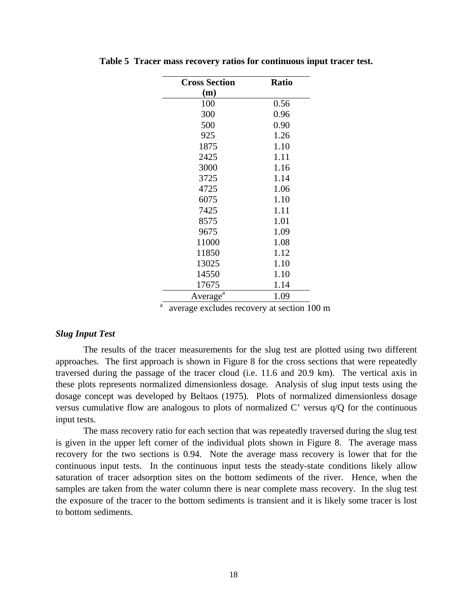| <b>Cross Section</b> | <b>Ratio</b> |
|----------------------|--------------|
| (m)                  |              |
| 100                  | 0.56         |
| 300                  | 0.96         |
| 500                  | 0.90         |
| 925                  | 1.26         |
| 1875                 | 1.10         |
| 2425                 | 1.11         |
| 3000                 | 1.16         |
| 3725                 | 1.14         |
| 4725                 | 1.06         |
| 6075                 | 1.10         |
| 7425                 | 1.11         |
| 8575                 | 1.01         |
| 9675                 | 1.09         |
| 11000                | 1.08         |
| 11850                | 1.12         |
| 13025                | 1.10         |
| 14550                | 1.10         |
| 17675                | 1.14         |
| Average <sup>a</sup> | 1.09         |

**Table 5 Tracer mass recovery ratios for continuous input tracer test.**

 $\frac{a}{a}$  average excludes recovery at section 100 m

### *Slug Input Test*

The results of the tracer measurements for the slug test are plotted using two different approaches. The first approach is shown in Figure 8 for the cross sections that were repeatedly traversed during the passage of the tracer cloud (i.e. 11.6 and 20.9 km). The vertical axis in these plots represents normalized dimensionless dosage. Analysis of slug input tests using the dosage concept was developed by Beltaos (1975). Plots of normalized dimensionless dosage versus cumulative flow are analogous to plots of normalized C' versus q/Q for the continuous input tests.

The mass recovery ratio for each section that was repeatedly traversed during the slug test is given in the upper left corner of the individual plots shown in Figure 8. The average mass recovery for the two sections is 0.94. Note the average mass recovery is lower that for the continuous input tests. In the continuous input tests the steady-state conditions likely allow saturation of tracer adsorption sites on the bottom sediments of the river. Hence, when the samples are taken from the water column there is near complete mass recovery. In the slug test the exposure of the tracer to the bottom sediments is transient and it is likely some tracer is lost to bottom sediments.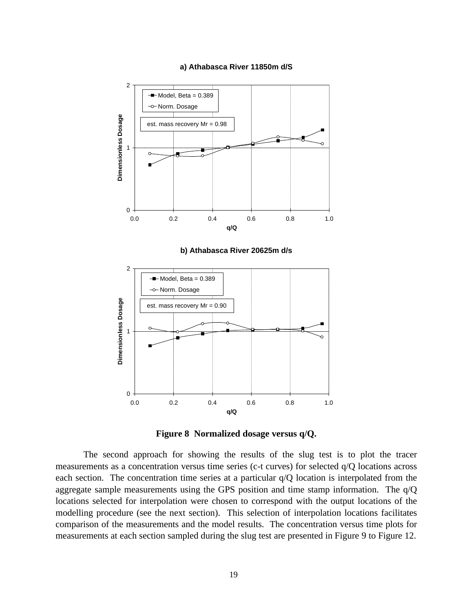### **a) Athabasca River 11850m d/S**



**b) Athabasca River 20625m d/s** 





The second approach for showing the results of the slug test is to plot the tracer measurements as a concentration versus time series (c-t curves) for selected q/Q locations across each section. The concentration time series at a particular  $q/Q$  location is interpolated from the aggregate sample measurements using the GPS position and time stamp information. The q/Q locations selected for interpolation were chosen to correspond with the output locations of the modelling procedure (see the next section). This selection of interpolation locations facilitates comparison of the measurements and the model results. The concentration versus time plots for measurements at each section sampled during the slug test are presented in Figure 9 to Figure 12.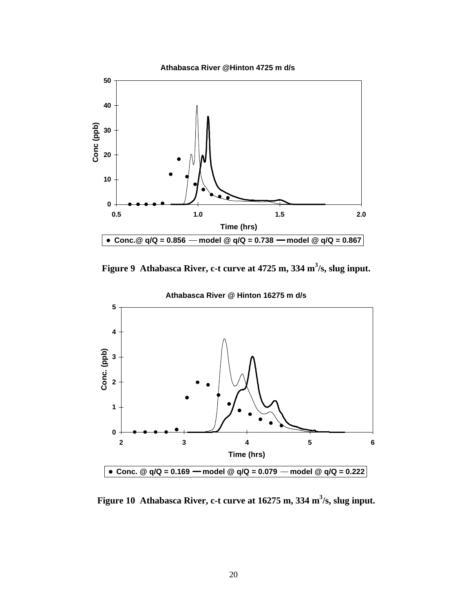**Athabasca River @Hinton 4725 m d/s**



**Figure 9 Athabasca River, c-t curve at 4725 m, 334 m<sup>3</sup> /s, slug input.**



**Athabasca River @ Hinton 16275 m d/s**

**Figure 10 Athabasca River, c-t curve at 16275 m, 334 m<sup>3</sup> /s, slug input.**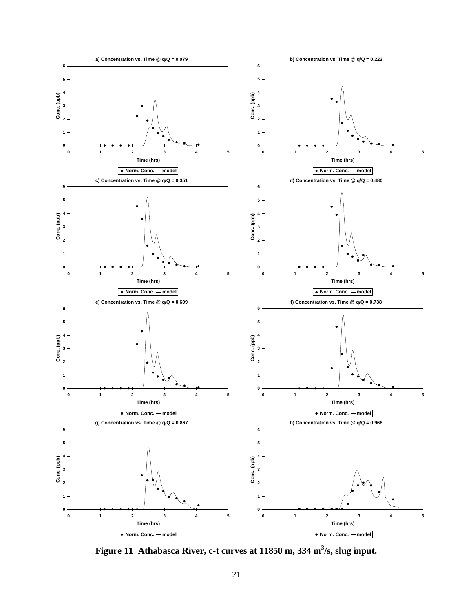

**Figure 11 Athabasca River, c-t curves at 11850 m, 334 m<sup>3</sup> /s, slug input.**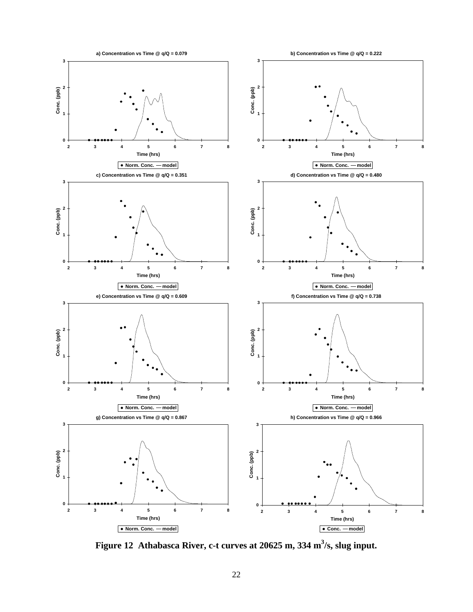

**Figure 12 Athabasca River, c-t curves at 20625 m, 334 m<sup>3</sup> /s, slug input.**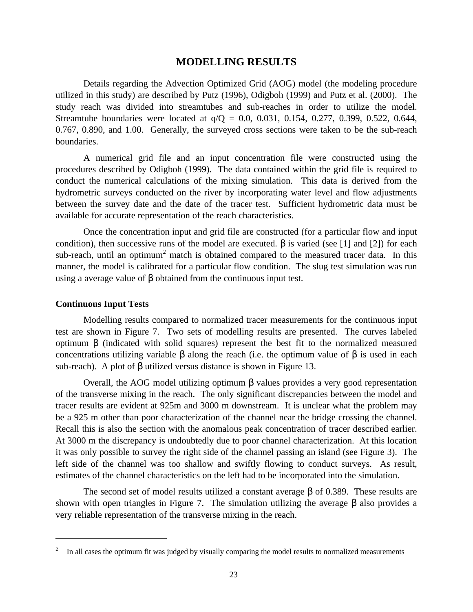### **MODELLING RESULTS**

Details regarding the Advection Optimized Grid (AOG) model (the modeling procedure utilized in this study) are described by Putz (1996), Odigboh (1999) and Putz et al. (2000). The study reach was divided into streamtubes and sub-reaches in order to utilize the model. Streamtube boundaries were located at q/Q = 0.0, 0.031, 0.154, 0.277, 0.399, 0.522, 0.644, 0.767, 0.890, and 1.00. Generally, the surveyed cross sections were taken to be the sub-reach boundaries.

A numerical grid file and an input concentration file were constructed using the procedures described by Odigboh (1999). The data contained within the grid file is required to conduct the numerical calculations of the mixing simulation. This data is derived from the hydrometric surveys conducted on the river by incorporating water level and flow adjustments between the survey date and the date of the tracer test. Sufficient hydrometric data must be available for accurate representation of the reach characteristics.

Once the concentration input and grid file are constructed (for a particular flow and input condition), then successive runs of the model are executed. β is varied (see [1] and [2]) for each sub-reach, until an optimum<sup>2</sup> match is obtained compared to the measured tracer data. In this manner, the model is calibrated for a particular flow condition. The slug test simulation was run using a average value of β obtained from the continuous input test.

### **Continuous Input Tests**

<u>.</u>

Modelling results compared to normalized tracer measurements for the continuous input test are shown in Figure 7. Two sets of modelling results are presented. The curves labeled optimum β (indicated with solid squares) represent the best fit to the normalized measured concentrations utilizing variable  $\beta$  along the reach (i.e. the optimum value of  $\beta$  is used in each sub-reach). A plot of β utilized versus distance is shown in Figure 13.

Overall, the AOG model utilizing optimum β values provides a very good representation of the transverse mixing in the reach. The only significant discrepancies between the model and tracer results are evident at 925m and 3000 m downstream. It is unclear what the problem may be a 925 m other than poor characterization of the channel near the bridge crossing the channel. Recall this is also the section with the anomalous peak concentration of tracer described earlier. At 3000 m the discrepancy is undoubtedly due to poor channel characterization. At this location it was only possible to survey the right side of the channel passing an island (see Figure 3). The left side of the channel was too shallow and swiftly flowing to conduct surveys. As result, estimates of the channel characteristics on the left had to be incorporated into the simulation.

The second set of model results utilized a constant average β of 0.389. These results are shown with open triangles in Figure 7. The simulation utilizing the average  $\beta$  also provides a very reliable representation of the transverse mixing in the reach.

<sup>2</sup> In all cases the optimum fit was judged by visually comparing the model results to normalized measurements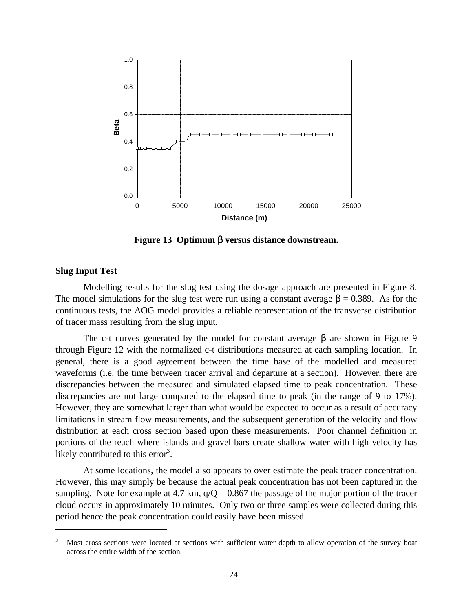

**Figure 13 Optimum** β **versus distance downstream.**

### **Slug Input Test**

 $\overline{a}$ 

Modelling results for the slug test using the dosage approach are presented in Figure 8. The model simulations for the slug test were run using a constant average  $\beta = 0.389$ . As for the continuous tests, the AOG model provides a reliable representation of the transverse distribution of tracer mass resulting from the slug input.

The c-t curves generated by the model for constant average  $\beta$  are shown in Figure 9 through Figure 12 with the normalized c-t distributions measured at each sampling location. In general, there is a good agreement between the time base of the modelled and measured waveforms (i.e. the time between tracer arrival and departure at a section). However, there are discrepancies between the measured and simulated elapsed time to peak concentration. These discrepancies are not large compared to the elapsed time to peak (in the range of 9 to 17%). However, they are somewhat larger than what would be expected to occur as a result of accuracy limitations in stream flow measurements, and the subsequent generation of the velocity and flow distribution at each cross section based upon these measurements. Poor channel definition in portions of the reach where islands and gravel bars create shallow water with high velocity has likely contributed to this error $3$ .

At some locations, the model also appears to over estimate the peak tracer concentration. However, this may simply be because the actual peak concentration has not been captured in the sampling. Note for example at 4.7 km,  $q/Q = 0.867$  the passage of the major portion of the tracer cloud occurs in approximately 10 minutes. Only two or three samples were collected during this period hence the peak concentration could easily have been missed.

<sup>&</sup>lt;sup>3</sup> Most cross sections were located at sections with sufficient water depth to allow operation of the survey boat across the entire width of the section.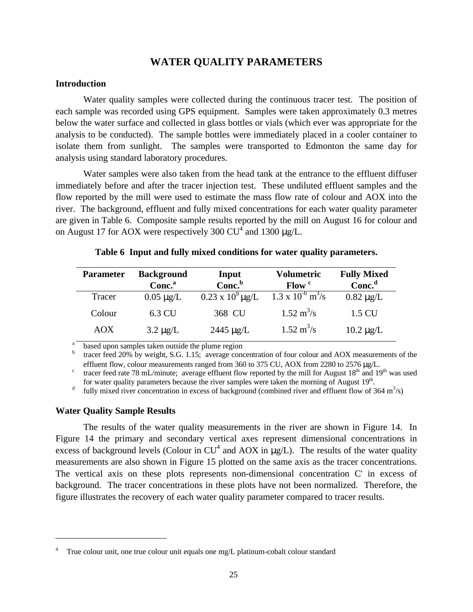# **WATER QUALITY PARAMETERS**

### **Introduction**

Water quality samples were collected during the continuous tracer test. The position of each sample was recorded using GPS equipment. Samples were taken approximately 0.3 metres below the water surface and collected in glass bottles or vials (which ever was appropriate for the analysis to be conducted). The sample bottles were immediately placed in a cooler container to isolate them from sunlight. The samples were transported to Edmonton the same day for analysis using standard laboratory procedures.

Water samples were also taken from the head tank at the entrance to the effluent diffuser immediately before and after the tracer injection test. These undiluted effluent samples and the flow reported by the mill were used to estimate the mass flow rate of colour and AOX into the river. The background, effluent and fully mixed concentrations for each water quality parameter are given in Table 6. Composite sample results reported by the mill on August 16 for colour and on August 17 for AOX were respectively 300  $CU^4$  and 1300  $\mu g/L$ .

| <b>Parameter</b> | <b>Background</b><br>Conc. <sup>a</sup> | Input<br>Conc. <sup>b</sup> | Volumetric<br>Flow <sup>c</sup>           | <b>Fully Mixed</b><br>Conc <sup>d</sup> |
|------------------|-----------------------------------------|-----------------------------|-------------------------------------------|-----------------------------------------|
| <b>Tracer</b>    | $0.05 \mu g/L$                          | $0.23 \times 10^9 \mu g/L$  | $1.3 \times 10^{-6} \text{ m}^3\text{/s}$ | $0.82 \mu g/L$                          |
| Colour           | 6.3 CU                                  | 368 CU                      | $1.52 \text{ m}^3/\text{s}$               | 1.5 CU                                  |
| AOX              | $3.2 \mu g/L$                           | $2445 \mu g/L$              | $1.52 \text{ m}^3/\text{s}$               | $10.2 \mu g/L$                          |

|  | Table 6 Input and fully mixed conditions for water quality parameters. |  |  |
|--|------------------------------------------------------------------------|--|--|
|  |                                                                        |  |  |

based upon samples taken outside the plume region

 $b$  tracer feed 20% by weight, S.G. 1.15; average concentration of four colour and AOX measurements of the effluent flow, colour measurements ranged from 360 to 375 CU, AOX from 2280 to 2576 μg/L.

<sup>c</sup> tracer feed rate 78 mL/minute; average effluent flow reported by the mill for August  $18<sup>th</sup>$  and  $19<sup>th</sup>$  was used for water quality parameters because the river samples were taken the morning of August 19<sup>th</sup>.

<sup>d</sup> fully mixed river concentration in excess of background (combined river and effluent flow of 364 m<sup>3</sup>/s)

### **Water Quality Sample Results**

 $\overline{a}$ 

The results of the water quality measurements in the river are shown in Figure 14. In Figure 14 the primary and secondary vertical axes represent dimensional concentrations in excess of background levels (Colour in  $CU^4$  and AOX in  $\mu$ g/L). The results of the water quality measurements are also shown in Figure 15 plotted on the same axis as the tracer concentrations. The vertical axis on these plots represents non-dimensional concentration C' in excess of background. The tracer concentrations in these plots have not been normalized. Therefore, the figure illustrates the recovery of each water quality parameter compared to tracer results.

True colour unit, one true colour unit equals one mg/L platinum-cobalt colour standard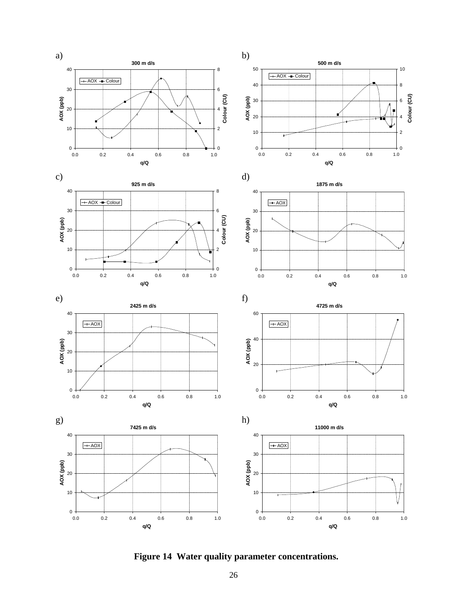













**Figure 14 Water quality parameter concentrations.**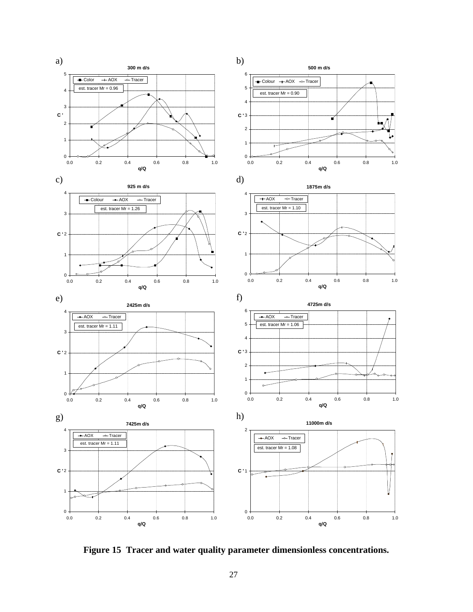

**Figure 15 Tracer and water quality parameter dimensionless concentrations.**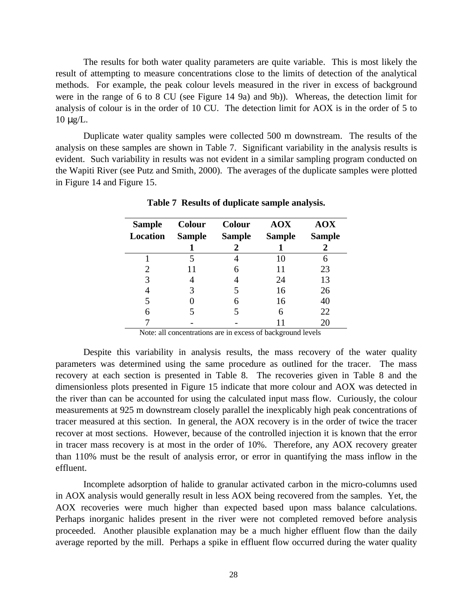The results for both water quality parameters are quite variable. This is most likely the result of attempting to measure concentrations close to the limits of detection of the analytical methods. For example, the peak colour levels measured in the river in excess of background were in the range of 6 to 8 CU (see Figure 14 9a) and 9b)). Whereas, the detection limit for analysis of colour is in the order of 10 CU. The detection limit for AOX is in the order of 5 to 10 μg/L.

Duplicate water quality samples were collected 500 m downstream. The results of the analysis on these samples are shown in Table 7. Significant variability in the analysis results is evident. Such variability in results was not evident in a similar sampling program conducted on the Wapiti River (see Putz and Smith, 2000). The averages of the duplicate samples were plotted in Figure 14 and Figure 15.

| <b>Sample</b><br><b>Location</b> | <b>Colour</b><br><b>Sample</b> | <b>Colour</b><br><b>Sample</b> | <b>AOX</b><br><b>Sample</b> | <b>AOX</b><br><b>Sample</b> |
|----------------------------------|--------------------------------|--------------------------------|-----------------------------|-----------------------------|
|                                  |                                | 2                              |                             |                             |
|                                  |                                |                                | 10                          | 6                           |
| 2                                |                                | 6                              | 11                          | 23                          |
| 3                                |                                |                                | 24                          | 13                          |
| 4                                |                                | 5                              | 16                          | 26                          |
| 5                                |                                | 6                              | 16                          | 40                          |
| 6                                |                                |                                | 6                           | 22                          |
|                                  |                                |                                |                             | 20                          |

**Table 7 Results of duplicate sample analysis.**

Note: all concentrations are in excess of background levels

Despite this variability in analysis results, the mass recovery of the water quality parameters was determined using the same procedure as outlined for the tracer. The mass recovery at each section is presented in Table 8. The recoveries given in Table 8 and the dimensionless plots presented in Figure 15 indicate that more colour and AOX was detected in the river than can be accounted for using the calculated input mass flow. Curiously, the colour measurements at 925 m downstream closely parallel the inexplicably high peak concentrations of tracer measured at this section. In general, the AOX recovery is in the order of twice the tracer recover at most sections. However, because of the controlled injection it is known that the error in tracer mass recovery is at most in the order of 10%. Therefore, any AOX recovery greater than 110% must be the result of analysis error, or error in quantifying the mass inflow in the effluent.

Incomplete adsorption of halide to granular activated carbon in the micro-columns used in AOX analysis would generally result in less AOX being recovered from the samples. Yet, the AOX recoveries were much higher than expected based upon mass balance calculations. Perhaps inorganic halides present in the river were not completed removed before analysis proceeded. Another plausible explanation may be a much higher effluent flow than the daily average reported by the mill. Perhaps a spike in effluent flow occurred during the water quality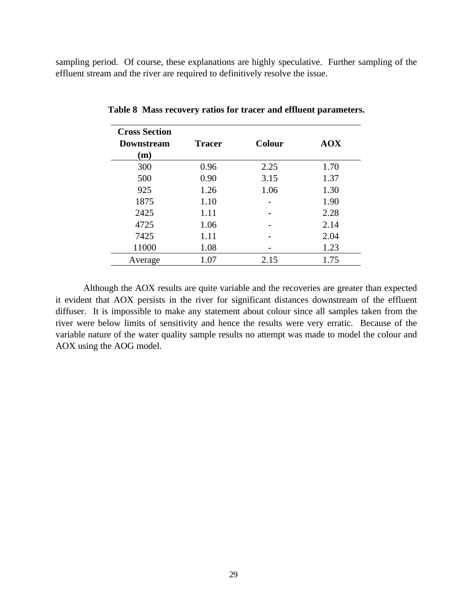sampling period. Of course, these explanations are highly speculative. Further sampling of the effluent stream and the river are required to definitively resolve the issue.

| <b>Cross Section</b><br><b>Downstream</b><br>(m) | <b>Tracer</b> | <b>Colour</b> | <b>AOX</b> |
|--------------------------------------------------|---------------|---------------|------------|
| 300                                              | 0.96          | 2.25          | 1.70       |
| 500                                              | 0.90          | 3.15          | 1.37       |
| 925                                              | 1.26          | 1.06          | 1.30       |
| 1875                                             | 1.10          |               | 1.90       |
| 2425                                             | 1.11          |               | 2.28       |
| 4725                                             | 1.06          |               | 2.14       |
| 7425                                             | 1.11          |               | 2.04       |
| 11000                                            | 1.08          |               | 1.23       |
| Average                                          | 1.07          | 2.15          | 1.75       |

**Table 8 Mass recovery ratios for tracer and effluent parameters.**

Although the AOX results are quite variable and the recoveries are greater than expected it evident that AOX persists in the river for significant distances downstream of the effluent diffuser. It is impossible to make any statement about colour since all samples taken from the river were below limits of sensitivity and hence the results were very erratic. Because of the variable nature of the water quality sample results no attempt was made to model the colour and AOX using the AOG model.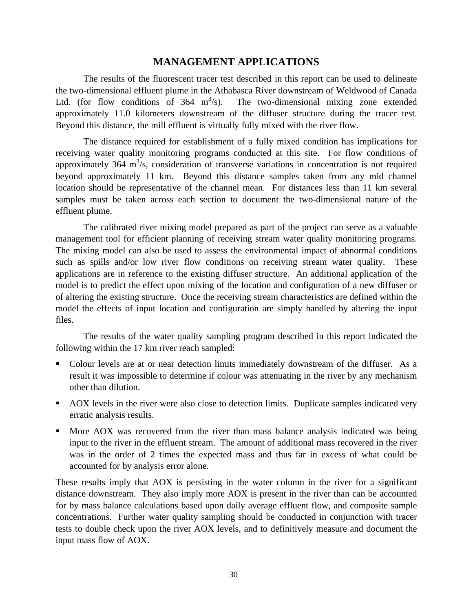# **MANAGEMENT APPLICATIONS**

The results of the fluorescent tracer test described in this report can be used to delineate the two-dimensional effluent plume in the Athabasca River downstream of Weldwood of Canada Ltd. (for flow conditions of  $364 \text{ m}^3/\text{s}$ ). The two-dimensional mixing zone extended approximately 11.0 kilometers downstream of the diffuser structure during the tracer test. Beyond this distance, the mill effluent is virtually fully mixed with the river flow.

The distance required for establishment of a fully mixed condition has implications for receiving water quality monitoring programs conducted at this site. For flow conditions of approximately 364  $m^3/s$ , consideration of transverse variations in concentration is not required beyond approximately 11 km. Beyond this distance samples taken from any mid channel location should be representative of the channel mean. For distances less than 11 km several samples must be taken across each section to document the two-dimensional nature of the effluent plume.

The calibrated river mixing model prepared as part of the project can serve as a valuable management tool for efficient planning of receiving stream water quality monitoring programs. The mixing model can also be used to assess the environmental impact of abnormal conditions such as spills and/or low river flow conditions on receiving stream water quality. These applications are in reference to the existing diffuser structure. An additional application of the model is to predict the effect upon mixing of the location and configuration of a new diffuser or of altering the existing structure. Once the receiving stream characteristics are defined within the model the effects of input location and configuration are simply handled by altering the input files.

The results of the water quality sampling program described in this report indicated the following within the 17 km river reach sampled:

- Colour levels are at or near detection limits immediately downstream of the diffuser. As a result it was impossible to determine if colour was attenuating in the river by any mechanism other than dilution.
- AOX levels in the river were also close to detection limits. Duplicate samples indicated very erratic analysis results.
- More AOX was recovered from the river than mass balance analysis indicated was being input to the river in the effluent stream. The amount of additional mass recovered in the river was in the order of 2 times the expected mass and thus far in excess of what could be accounted for by analysis error alone.

These results imply that AOX is persisting in the water column in the river for a significant distance downstream. They also imply more AOX is present in the river than can be accounted for by mass balance calculations based upon daily average effluent flow, and composite sample concentrations. Further water quality sampling should be conducted in conjunction with tracer tests to double check upon the river AOX levels, and to definitively measure and document the input mass flow of AOX.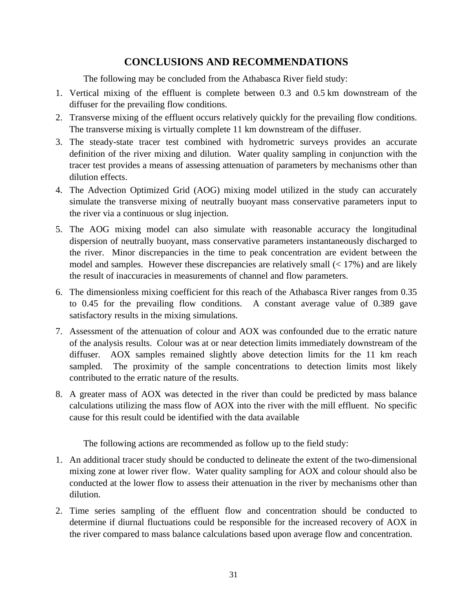# **CONCLUSIONS AND RECOMMENDATIONS**

The following may be concluded from the Athabasca River field study:

- 1. Vertical mixing of the effluent is complete between 0.3 and 0.5 km downstream of the diffuser for the prevailing flow conditions.
- 2. Transverse mixing of the effluent occurs relatively quickly for the prevailing flow conditions. The transverse mixing is virtually complete 11 km downstream of the diffuser.
- 3. The steady-state tracer test combined with hydrometric surveys provides an accurate definition of the river mixing and dilution. Water quality sampling in conjunction with the tracer test provides a means of assessing attenuation of parameters by mechanisms other than dilution effects.
- 4. The Advection Optimized Grid (AOG) mixing model utilized in the study can accurately simulate the transverse mixing of neutrally buoyant mass conservative parameters input to the river via a continuous or slug injection.
- 5. The AOG mixing model can also simulate with reasonable accuracy the longitudinal dispersion of neutrally buoyant, mass conservative parameters instantaneously discharged to the river. Minor discrepancies in the time to peak concentration are evident between the model and samples. However these discrepancies are relatively small  $(< 17\%)$  and are likely the result of inaccuracies in measurements of channel and flow parameters.
- 6. The dimensionless mixing coefficient for this reach of the Athabasca River ranges from 0.35 to 0.45 for the prevailing flow conditions. A constant average value of 0.389 gave satisfactory results in the mixing simulations.
- 7. Assessment of the attenuation of colour and AOX was confounded due to the erratic nature of the analysis results. Colour was at or near detection limits immediately downstream of the diffuser. AOX samples remained slightly above detection limits for the 11 km reach sampled. The proximity of the sample concentrations to detection limits most likely contributed to the erratic nature of the results.
- 8. A greater mass of AOX was detected in the river than could be predicted by mass balance calculations utilizing the mass flow of AOX into the river with the mill effluent. No specific cause for this result could be identified with the data available

The following actions are recommended as follow up to the field study:

- 1. An additional tracer study should be conducted to delineate the extent of the two-dimensional mixing zone at lower river flow. Water quality sampling for AOX and colour should also be conducted at the lower flow to assess their attenuation in the river by mechanisms other than dilution.
- 2. Time series sampling of the effluent flow and concentration should be conducted to determine if diurnal fluctuations could be responsible for the increased recovery of AOX in the river compared to mass balance calculations based upon average flow and concentration.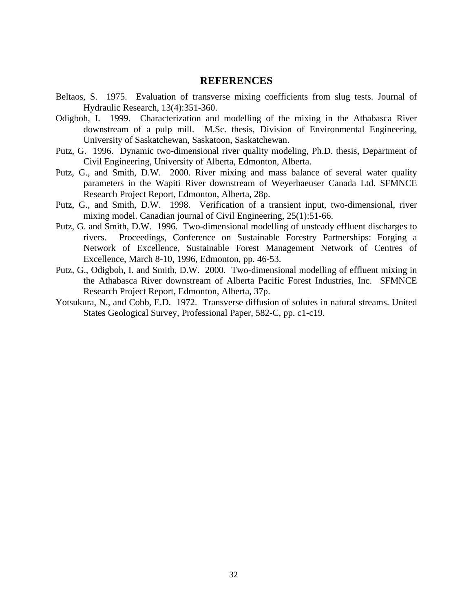## **REFERENCES**

- Beltaos, S. 1975. Evaluation of transverse mixing coefficients from slug tests. Journal of Hydraulic Research, 13(4):351-360.
- Odigboh, I. 1999. Characterization and modelling of the mixing in the Athabasca River downstream of a pulp mill. M.Sc. thesis, Division of Environmental Engineering, University of Saskatchewan, Saskatoon, Saskatchewan.
- Putz, G. 1996. Dynamic two-dimensional river quality modeling, Ph.D. thesis, Department of Civil Engineering, University of Alberta, Edmonton, Alberta.
- Putz, G., and Smith, D.W. 2000. River mixing and mass balance of several water quality parameters in the Wapiti River downstream of Weyerhaeuser Canada Ltd. SFMNCE Research Project Report, Edmonton, Alberta, 28p.
- Putz, G., and Smith, D.W. 1998. Verification of a transient input, two-dimensional, river mixing model. Canadian journal of Civil Engineering, 25(1):51-66.
- Putz, G. and Smith, D.W. 1996. Two-dimensional modelling of unsteady effluent discharges to rivers. Proceedings, Conference on Sustainable Forestry Partnerships: Forging a Network of Excellence, Sustainable Forest Management Network of Centres of Excellence, March 8-10, 1996, Edmonton, pp. 46-53.
- Putz, G., Odigboh, I. and Smith, D.W. 2000. Two-dimensional modelling of effluent mixing in the Athabasca River downstream of Alberta Pacific Forest Industries, Inc. SFMNCE Research Project Report, Edmonton, Alberta, 37p.
- Yotsukura, N., and Cobb, E.D. 1972. Transverse diffusion of solutes in natural streams. United States Geological Survey, Professional Paper, 582-C, pp. c1-c19.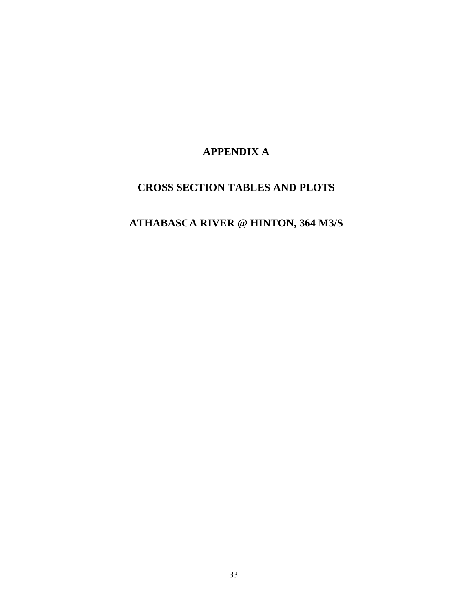# **APPENDIX A**

# **CROSS SECTION TABLES AND PLOTS**

# **ATHABASCA RIVER @ HINTON, 364 M3/S**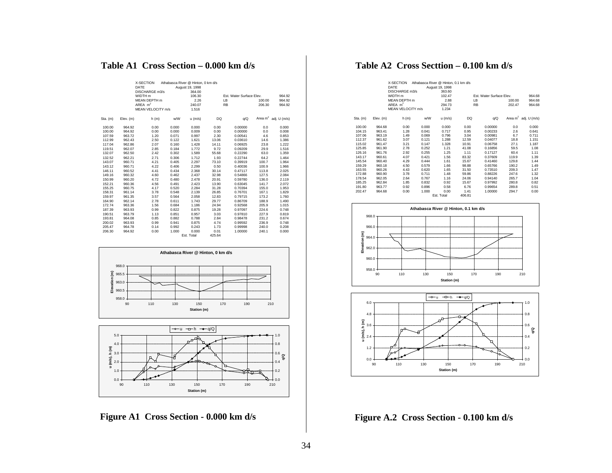### **Table A1 Cross Section – 0.000 km d/s**

|          |           | X-SECTION<br>DATE<br>DISCHARGE m3/s |       | Athabasca River @ Hinton, 0 km d/s<br>August 19, 1998<br>364.00 |        |                          |        |                         |
|----------|-----------|-------------------------------------|-------|-----------------------------------------------------------------|--------|--------------------------|--------|-------------------------|
|          |           | WIDTH <sub>m</sub>                  |       | 106.30                                                          |        | Est. Water Surface Elev. |        | 964.92                  |
|          |           | MFAN DEPTH m                        |       | 2.26                                                            |        | LB                       | 100.00 | 964.92                  |
|          |           | AREA $m2$                           |       | 240.07                                                          |        | <b>RB</b>                | 206.30 | 964.92                  |
|          |           | MEAN VELOCITY m/s                   |       | 1.516                                                           |        |                          |        |                         |
|          |           |                                     |       |                                                                 |        |                          |        |                         |
| Sta. (m) | Elev. (m) | h(m)                                | w/W   | $u$ (m/s)                                                       | DQ     | q/Q                      |        | Area $m^2$ adj. U (m/s) |
| 100.00   | 964.92    | 0.00                                | 0.000 | 0.000                                                           | 0.00   | 0.00000                  | 0.0    | 0.000                   |
| 100.00   | 964.92    | 0.00                                | 0.000 | 0.009                                                           | 0.00   | 0.00000                  | 0.0    | 0.008                   |
| 107.59   | 963.72    | 1.20                                | 0.071 | 0.997                                                           | 2.30   | 0.00541                  | 4.6    | 0.853                   |
| 112.99   | 962.43    | 2.50                                | 0.122 | 1.621                                                           | 13.06  | 0.03610                  | 14.6   | 1.386                   |
| 117.04   | 962.86    | 2.07                                | 0.160 | 1.428                                                           | 14.11  | 0.06925                  | 23.8   | 1.222                   |
| 119.51   | 962.07    | 2.85                                | 0.184 | 1.772                                                           | 9.72   | 0.09209                  | 29.9   | 1.516                   |
| 132.07   | 962.50    | 2.42                                | 0.302 | 1.589                                                           | 55.68  | 0.22290                  | 63.0   | 1.359                   |
| 132.52   | 962.21    | 2.71                                | 0.306 | 1.712                                                           | 1.93   | 0.22744                  | 64.2   | 1.464                   |
| 143.07   | 960.71    | 4.21                                | 0.405 | 2.297                                                           | 73.10  | 0.39919                  | 100.7  | 1.964                   |
| 143.12   | 960.71    | 4.22                                | 0.406 | 2.299                                                           | 0.50   | 0.40036                  | 100.9  | 1.966                   |
| 146.11   | 960.52    | 4.41                                | 0.434 | 2.368                                                           | 30.14  | 0.47117                  | 113.8  | 2.025                   |
| 149.16   | 960.32    | 4.60                                | 0.462 | 2.437                                                           | 32.98  | 0.54866                  | 127.5  | 2.084                   |
| 150.99   | 960.20    | 4.72                                | 0.480 | 2.478                                                           | 20.91  | 0.59780                  | 136.0  | 2.119                   |
| 152.21   | 960.36    | 4.56                                | 0.491 | 2.423                                                           | 13.90  | 0.63045                  | 141.7  | 2.072                   |
| 155.25   | 960.75    | 4.17                                | 0.520 | 2.284                                                           | 31.28  | 0.70394                  | 155.0  | 1.953                   |
| 158.31   | 961.14    | 3.78                                | 0.548 | 2.139                                                           | 26.85  | 0.76701                  | 167.1  | 1.829                   |
| 159.97   | 961.35    | 3.57                                | 0.564 | 2.058                                                           | 12.83  | 0.79715                  | 173.2  | 1.760                   |
| 164.90   | 962.14    | 2.78                                | 0.611 | 1.743                                                           | 29.77  | 0.86709                  | 188.9  | 1.490                   |
| 172.74   | 963.36    | 1.56                                | 0.684 | 1.186                                                           | 24.94  | 0.92568                  | 205.9  | 1.015                   |
| 187.39   | 963.93    | 0.99                                | 0.822 | 0.875                                                           | 19.28  | 0.97097                  | 224.6  | 0.748                   |
| 190.51   | 963.79    | 1.13                                | 0.851 | 0.957                                                           | 3.03   | 0.97810                  | 227.9  | 0.819                   |
| 193.81   | 964.08    | 0.85                                | 0.882 | 0.788                                                           | 2.84   | 0.98478                  | 231.2  | 0.674                   |
| 200.02   | 963.93    | 0.99                                | 0.941 | 0.875                                                           | 4.74   | 0.99592                  | 236.9  | 0.748                   |
| 205.47   | 964.78    | 0.14                                | 0.992 | 0.243                                                           | 1.73   | 0.99998                  | 240.0  | 0.208                   |
| 206.30   | 964.92    | 0.00                                | 1.000 | 0.000                                                           | 0.01   | 1.00000                  | 240.1  | 0.000                   |
|          |           |                                     |       | <b>Est. Total</b>                                               | 425.64 |                          |        |                         |





**Figure A1 Cross Section - 0.000 km d/s**

# **Table A2 Cross Secttion – 0.100 km d/s**

|          |           | X-SECTION<br>DATE<br>DISCHARGE m3/s<br>WIDTH m<br>MFAN DFPTH m<br>AREA $m2$<br>MEAN VELOCITY m/s |       | Athabasca River @ Hinton, 0.1 km d/s<br>August 19, 1998<br>363.60<br>102.47<br>2.88<br>294.73<br>1.234 |        | Est. Water Surface Flev.<br>IB<br><b>RB</b> | 100.00<br>202.47 | 964.68<br>964.68<br>964.68 |
|----------|-----------|--------------------------------------------------------------------------------------------------|-------|--------------------------------------------------------------------------------------------------------|--------|---------------------------------------------|------------------|----------------------------|
| Sta. (m) | Elev. (m) | h(m)                                                                                             | w/W   | $u$ (m/s)                                                                                              | DQ     | q/Q                                         |                  | Area $m^2$ adj. U (m/s)    |
| 100.00   | 964.68    | 0.00                                                                                             | 0.000 | 0.000                                                                                                  | 0.00   | 0.00000                                     | 0.0              | 0.000                      |
| 104.15   | 963.41    | 1.28                                                                                             | 0.041 | 0.717                                                                                                  | 0.95   | 0.00233                                     | 2.6              | 0.641                      |
| 107.06   | 963.19    | 1.49                                                                                             | 0.069 | 0.796                                                                                                  | 3.04   | 0.00981                                     | 6.7              | 0.711                      |
| 112.37   | 961.62    | 3.07                                                                                             | 0.121 | 1.288                                                                                                  | 12.59  | 0.04077                                     | 18.8             | 1.151                      |
| 115.02   | 961.47    | 3.21                                                                                             | 0.147 | 1.328                                                                                                  | 10.91  | 0.06758                                     | 27.1             | 1.187                      |
| 125.85   | 961.90    | 2.78                                                                                             | 0.252 | 1.21                                                                                                   | 41.08  | 0.16856                                     | 59.5             | 1.08                       |
| 126.16   | 961.76    | 2.92                                                                                             | 0.255 | 1.25                                                                                                   | 1.11   | 0.17127                                     | 60.4             | 1.11                       |
| 143.17   | 960.61    | 4.07                                                                                             | 0.421 | 1.56                                                                                                   | 83.32  | 0.37609                                     | 119.9            | 1.39                       |
| 145.54   | 960.40    | 4.29                                                                                             | 0.444 | 1.61                                                                                                   | 15.67  | 0.41460                                     | 129.8            | 1.44                       |
| 159.29   | 960.18    | 4.50                                                                                             | 0.579 | 1.66                                                                                                   | 98.88  | 0.65766                                     | 190.2            | 1.49                       |
| 163.55   | 960.26    | 4.43                                                                                             | 0.620 | 1.65                                                                                                   | 31.50  | 0.73510                                     | 209.3            | 1.47                       |
| 172.88   | 960.90    | 3.78                                                                                             | 0.711 | 1.48                                                                                                   | 59.86  | 0.88226                                     | 247.6            | 1.32                       |
| 178.54   | 962.05    | 2.64                                                                                             | 0.767 | 1.16                                                                                                   | 24.06  | 0.94140                                     | 265.7            | 1.04                       |
| 185.25   | 962.84    | 1.85                                                                                             | 0.832 | 0.92                                                                                                   | 15.67  | 0.97992                                     | 280.8            | 0.82                       |
| 191.80   | 963.77    | 0.92                                                                                             | 0.896 | 0.58                                                                                                   | 6.76   | 0.99654                                     | 289.8            | 0.51                       |
| 202.47   | 964.68    | 0.00                                                                                             | 1.000 | 0.00                                                                                                   | 1.41   | 1.00000                                     | 294.7            | 0.00                       |
|          |           |                                                                                                  |       | Est. Total                                                                                             | 406.81 |                                             |                  |                            |





**Figure A.2 Cross Section - 0.100 km d/s**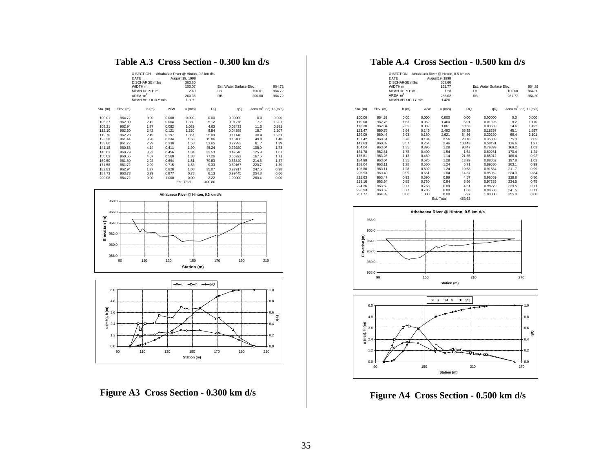# **Table A.3 Cross Section - 0.300 km d/s**

|          |           | X-SECTION<br>DATE<br>DISCHARGE m3/s<br>WIDTH m<br>MFAN DFPTH m<br>ARFA $m2$<br>MEAN VELOCITY m/s |       | Athabasca River @ Hinton, 0.3 km d/s<br>August 19, 1998<br>363.60<br>100.07<br>2.60<br>260.36<br>1.397 |        | Est. Water Surface Elev.<br>LB<br><b>RB</b> | 100.01<br>200.08 | 964.72<br>964.72<br>964.72 |
|----------|-----------|--------------------------------------------------------------------------------------------------|-------|--------------------------------------------------------------------------------------------------------|--------|---------------------------------------------|------------------|----------------------------|
| Sta. (m) | Elev. (m) | h(m)                                                                                             | w/W   | $u$ (m/s)                                                                                              | DQ     | q/Q                                         |                  | Area $m^2$ adj. U (m/s)    |
| 100.01   | 964.72    | 0.00                                                                                             | 0.000 | 0.000                                                                                                  | 0.00   | 0.00000                                     | 0.0              | 0.000                      |
| 106.37   | 962.30    | 2.42                                                                                             | 0.064 | 1.330                                                                                                  | 5.12   | 0.01278                                     | 7.7              | 1.207                      |
| 108.21   | 962.94    | 1.77                                                                                             | 0.082 | 1.082                                                                                                  | 4.63   | 0.02433                                     | 11.5             | 0.981                      |
| 112.10   | 962.30    | 2.42                                                                                             | 0.121 | 1.330                                                                                                  | 9.84   | 0.04888                                     | 19.7             | 1.207                      |
| 119.70   | 962.23    | 2.49                                                                                             | 0.197 | 1.357                                                                                                  | 25.09  | 0.11148                                     | 38.4             | 1.231                      |
| 123.38   | 961.44    | 3.28                                                                                             | 0.234 | 1.63                                                                                                   | 15.86  | 0.15106                                     | 49.0             | 1.48                       |
| 133.80   | 961.72    | 2.99                                                                                             | 0.338 | 1.53                                                                                                   | 51.65  | 0.27993                                     | 81.7             | 1.39                       |
| 141.18   | 960.58    | 4.14                                                                                             | 0.411 | 1.90                                                                                                   | 45.24  | 0.39280                                     | 108.0            | 1.73                       |
| 145.63   | 960.79    | 3.92                                                                                             | 0.456 | 1.84                                                                                                   | 33.53  | 0.47646                                     | 125.9            | 1.67                       |
| 156.03   | 960.65    | 4.07                                                                                             | 0.560 | 1.88                                                                                                   | 77.26  | 0.66922                                     | 167.5            | 1.71                       |
| 169.50   | 961.80    | 2.92                                                                                             | 0.694 | 1.51                                                                                                   | 79.83  | 0.86840                                     | 214.6            | 1.37                       |
| 171.58   | 961.72    | 2.99                                                                                             | 0.715 | 1.53                                                                                                   | 9.33   | 0.89167                                     | 220.7            | 1.39                       |
| 182.83   | 962.94    | 1.77                                                                                             | 0.828 | 1.08                                                                                                   | 35.07  | 0.97917                                     | 247.5            | 0.98                       |
| 187.73   | 963.73    | 0.99                                                                                             | 0.877 | 0.73                                                                                                   | 6.13   | 0.99445                                     | 254.3            | 0.66                       |
| 200.08   | 964.72    | 0.00                                                                                             | 1.000 | 0.00                                                                                                   | 2.22   | 1.00000                                     | 260.4            | 0.00                       |
|          |           |                                                                                                  |       | Est. Total                                                                                             | 400.80 |                                             |                  |                            |





**Figure A3 Cross Section - 0.300 km d/s**

# **Table A.4 Cross Section - 0.500 km d/s**

|          |           | X-SECTION         |       | Athabasca River @ Hinton, 0.5 km d/s |        |                          |        |                         |
|----------|-----------|-------------------|-------|--------------------------------------|--------|--------------------------|--------|-------------------------|
|          |           | DATE              |       | August19, 1998                       |        |                          |        |                         |
|          |           | DISCHARGE m3/s    |       | 363.60                               |        |                          |        |                         |
|          |           | WIDTH m           |       | 161.77                               |        | Est. Water Surface Elev. |        | 964.39                  |
|          |           | MEAN DEPTH m      |       | 1.58                                 |        | LB                       | 100.00 | 964.39                  |
|          |           | AREA $m2$         |       | 255.02                               |        | <b>RB</b>                | 261.77 | 964.39                  |
|          |           | MEAN VELOCITY m/s |       | 1.426                                |        |                          |        |                         |
|          |           |                   |       |                                      |        |                          |        |                         |
| Sta. (m) | Elev. (m) | h(m)              | w/W   | $u$ (m/s)                            | DQ     | q/Q                      |        | Area $m^2$ adj. U (m/s) |
| 100.00   | 964.39    | 0.00              | 0.000 | 0.000                                | 0.00   | 0.00000                  | 0.0    | 0.000                   |
| 110.08   | 962.76    | 1.63              | 0.062 | 1.460                                | 6.01   | 0.01326                  | 8.2    | 1.170                   |
| 113.30   | 962.04    | 2.35              | 0.082 | 1.861                                | 10.63  | 0.03669                  | 14.6   | 1.492                   |
| 123.47   | 960.75    | 3.64              | 0.145 | 2.492                                | 66.35  | 0.18297                  | 45.1   | 1.997                   |
| 129.09   | 960.46    | 3.93              | 0.180 | 2.621                                | 54.36  | 0.30280                  | 66.4   | 2.101                   |
| 131.42   | 960.61    | 3.78              | 0.194 | 2.56                                 | 23.18  | 0.35389                  | 75.3   | 2.05                    |
| 142.63   | 960.82    | 3.57              | 0.264 | 2.46                                 | 103.43 | 0.58191                  | 116.6  | 1.97                    |
| 164.04   | 963.04    | 1.35              | 0.396 | 1.28                                 | 98.47  | 0.79899                  | 169.2  | 1.03                    |
| 164.78   | 962.61    | 1.78              | 0.400 | 1.54                                 | 1.64   | 0.80261                  | 170.4  | 1.24                    |
| 175.81   | 963.26    | 1.13              | 0.469 | 1.14                                 | 21.55  | 0.85012                  | 186.4  | 0.92                    |
| 184.98   | 963.04    | 1.35              | 0.525 | 1.28                                 | 13.79  | 0.88052                  | 197.8  | 1.03                    |
| 189.04   | 963.11    | 1.28              | 0.550 | 1.24                                 | 6.71   | 0.89530                  | 203.1  | 0.99                    |
| 195.80   | 963.11    | 1.28              | 0.592 | 1.24                                 | 10.68  | 0.91884                  | 211.7  | 0.99                    |
| 206.93   | 963.40    | 0.99              | 0.661 | 1.04                                 | 14.37  | 0.95052                  | 224.3  | 0.84                    |
| 211.63   | 963.47    | 0.92              | 0.690 | 0.99                                 | 4.57   | 0.96059                  | 228.8  | 0.80                    |
| 218.16   | 963.54    | 0.85              | 0.730 | 0.94                                 | 5.56   | 0.97285                  | 234.5  | 0.75                    |
| 224.26   | 963.62    | 0.77              | 0.768 | 0.89                                 | 4.51   | 0.98279                  | 239.5  | 0.71                    |
| 226.93   | 963.62    | 0.77              | 0.785 | 0.89                                 | 1.83   | 0.98683                  | 241.5  | 0.71                    |
| 261.77   | 964.39    | 0.00              | 1.000 | 0.00                                 | 5.97   | 1.00000                  | 255.0  | 0.00                    |
|          |           |                   |       | Est. Total                           | 453.63 |                          |        |                         |





**Figure A4 Cross Section - 0.500 km d/s**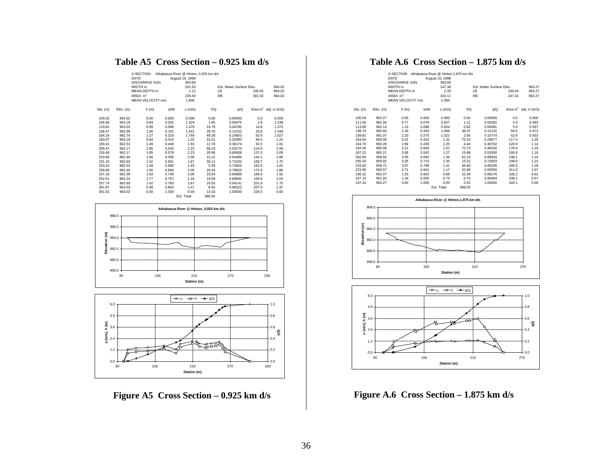# **Table A5 Cross Section – 0.925 km d/s**

|          |           | X-SECTION<br>DATE                    |       | Athabasca River @ Hinton, 0.925 km d/s<br>August 19, 1998 |        |                                 |        |                         |
|----------|-----------|--------------------------------------|-------|-----------------------------------------------------------|--------|---------------------------------|--------|-------------------------|
|          |           | DISCHARGE m3/s<br>WIDTH <sub>m</sub> |       | 363.60                                                    |        | <b>Est. Water Surface Elev.</b> |        | 964.02                  |
|          |           | MEAN DEPTH m                         |       | 201.50<br>1.12                                            |        | LB                              |        |                         |
|          |           |                                      |       |                                                           |        |                                 | 100.02 | 964.02                  |
|          |           | AREA $m2$                            |       | 226.50                                                    |        | <b>RB</b>                       | 301.52 | 964.02                  |
|          |           | MEAN VELOCITY m/s                    |       | 1.605                                                     |        |                                 |        |                         |
| Sta. (m) | Elev. (m) | h (m)                                | w/W   | $u$ (m/s)                                                 | DQ     | q/Q                             |        | Area $m^2$ adj. U (m/s) |
| 100.02   | 964.02    | 0.00                                 | 0.000 | 0.000                                                     | 0.00   | 0.00000                         | 0.0    | 0.000                   |
| 106.66   | 963.18    | 0.84                                 | 0.033 | 1.324                                                     | 1.85   | 0.00475                         | 2.8    | 1.236                   |
| 119.81   | 963.03    | 0.99                                 | 0.098 | 1.470                                                     | 16.79  | 0.04785                         | 14.8   | 1.372                   |
| 138.47   | 962.96    | 1.06                                 | 0.191 | 1.541                                                     | 28.70  | 0.12152                         | 33.9   | 1.438                   |
| 164.24   | 962.74    | 1.27                                 | 0.319 | 1.744                                                     | 49.28  | 0.24803                         | 63.9   | 1.627                   |
| 183.67   | 963.18    | 0.84                                 | 0.415 | 1.32                                                      | 31.51  | 0.32893                         | 84.4   | 1.24                    |
| 190.41   | 962.53    | 1.49                                 | 0.449 | 1.93                                                      | 12.78  | 0.36174                         | 92.3   | 1.81                    |
| 209.47   | 962.17    | 1.85                                 | 0.543 | 2.23                                                      | 66.23  | 0.53174                         | 124.0  | 2.09                    |
| 216.49   | 962.17    | 1.85                                 | 0.578 | 2.23                                                      | 28.96  | 0.60608                         | 137.0  | 2.09                    |
| 220.68   | 962.46    | 1.56                                 | 0.599 | 2.00                                                      | 15.12  | 0.64489                         | 144.1  | 1.86                    |
| 231.15   | 962.60    | 1.42                                 | 0.651 | 1.87                                                      | 30.12  | 0.72220                         | 159.7  | 1.75                    |
| 233.10   | 962.53    | 1.49                                 | 0.660 | 1.93                                                      | 5.39   | 0.73604                         | 162.5  | 1.81                    |
| 239.89   | 962.46    | 1.56                                 | 0.694 | 2.00                                                      | 20.33  | 0.78823                         | 172.9  | 1.86                    |
| 247.18   | 962.39    | 1.63                                 | 0.730 | 2.06                                                      | 23.54  | 0.84866                         | 184.5  | 1.92                    |
| 252.61   | 962.24    | 1.77                                 | 0.757 | 2.18                                                      | 19.58  | 0.89892                         | 193.8  | 2.03                    |
| 257.74   | 962.60    | 1.42                                 | 0.783 | 1.87                                                      | 16.55  | 0.94141                         | 201.9  | 1.75                    |
| 261.97   | 963.03    | 0.99                                 | 0.804 | 1.47                                                      | 8.50   | 0.96322                         | 207.0  | 1.37                    |
| 301.52   | 964.02    | 0.00                                 | 1.000 | 0.00                                                      | 14.33  | 1.00000                         | 226.5  | 0.00                    |
|          |           |                                      |       | Est. Total                                                | 389.56 |                                 |        |                         |





**Figure A5 Cross Section – 0.925 km d/s**

# **Table A.6 Cross Section – 1.875 km d/s**

|            |           | X-SECTION Athabasca River @ Hinton, 1.875 km d/s<br>DATE<br>DISCHARGE m3/s |       | August 19, 1998<br>363.60 |           |                          |                         |
|------------|-----------|----------------------------------------------------------------------------|-------|---------------------------|-----------|--------------------------|-------------------------|
|            |           | WIDTH m                                                                    |       | 147.36                    |           | Est. Water Surface Flev. | 963.27                  |
|            |           | <b>MEAN DEPTH</b> m                                                        |       | 2.33                      | LB        | 100.04                   | 963.27                  |
|            |           | AREA $m2$                                                                  |       | 343.11                    | <b>RB</b> | 247.41                   | 963.27                  |
|            |           | MEAN VELOCITY m/s                                                          |       | 1.060                     |           |                          |                         |
|            |           |                                                                            |       |                           |           |                          |                         |
| $Sta.$ (m) | Elev. (m) | h(m)                                                                       | w/W   | u (m/s)                   | DQ        | q/Q                      | Area $m^2$ adj. U (m/s) |
| 100.04     | 963.27    | 0.00                                                                       | 0.000 | 0.000                     | 0.00      | 0.00000                  | 0.0<br>0.000            |
| 111.55     | 962.50    | 0.77                                                                       | 0.078 | 0.507                     | 1.12      | 0.00282                  | 4.4<br>0.463            |
| 113.06     | 962.14    | 1.13                                                                       | 0.088 | 0.654                     | 0.83      | 0.00491                  | 5.9<br>0.597            |
| 138.74     | 960.93    | 2.35                                                                       | 0.263 | 1.066                     | 38.37     | 0.10131                  | 50.5<br>0.973           |
| 139.81     | 961.07    | 2.20                                                                       | 0.270 | 1.022                     | 2.56      | 0.10774                  | 52.9<br>0.933           |
| 163.64     | 960.06    | 3.21                                                                       | 0.432 | 1.31                      | 75.24     | 117.4<br>0.29677         | 1.20                    |
| 164.76     | 960.28    | 2.99                                                                       | 0.439 | 1.25                      | 4.44      | 0.30792<br>120.9         | 1.14                    |
| 183.30     | 960.06    | 3.21                                                                       | 0.565 | 1.31                      | 73.73     | 178.4<br>0.49316         | 1.20                    |
| 187.21     | 960.21    | 3.06                                                                       | 0.592 | 1.27                      | 15.86     | 0.53300<br>190.6         | 1.16                    |
| 202.00     | 959.92    | 3.35                                                                       | 0.692 | 1.35                      | 62.23     | 238.1<br>0.68934         | 1.23                    |
| 205.43     | 959.92    | 3.35                                                                       | 0.715 | 1.35                      | 15.52     | 249.6<br>0.72833         | 1.23                    |
| 215.82     | 959.71    | 3.57                                                                       | 0.786 | 1.41                      | 49.60     | 285.5<br>0.85295         | 1.29                    |
| 223.95     | 960.57    | 2.71                                                                       | 0.841 | 1.17                      | 32.86     | 311.0<br>0.93550         | 1.07                    |
| 236.32     | 962.07    | 1.20                                                                       | 0.925 | 0.68                      | 22.39     | 335.2<br>0.99176         | 0.62                    |
| 237.15     | 961.93    | 1.34                                                                       | 0.930 | 0.73                      | 0.75      | 336.2<br>0.99364         | 0.67                    |
| 247.41     | 963.27    | 0.00                                                                       | 1.000 | 0.00                      | 2.53      | 1.00000<br>343.1         | 0.00                    |
|            |           |                                                                            |       | Est. Total                | 398.03    |                          |                         |





**Figure A.6 Cross Section – 1.875 km d/s**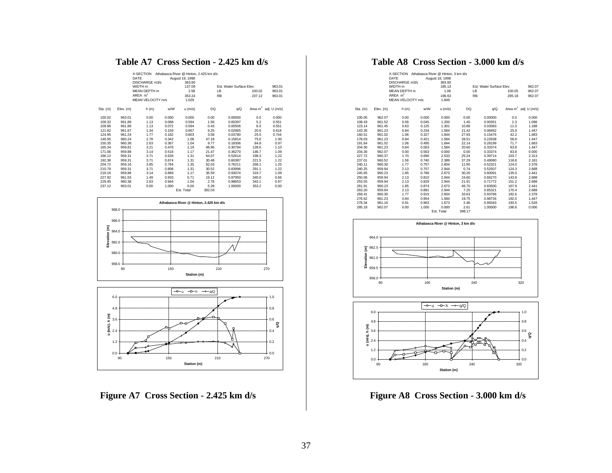# **Table A7 Cross Section - 2.425 km d/s**

|            |           | X-SECTION<br>DATE<br>DISCHARGE m3/s<br>WIDTH <sub>m</sub> |       | Athabasca River @ Hinton, 2.425 km d/s<br>August 19, 1998<br>363.60<br>137.09 |           | Est. Water Surface Elev. |        | 963.01                  |
|------------|-----------|-----------------------------------------------------------|-------|-------------------------------------------------------------------------------|-----------|--------------------------|--------|-------------------------|
|            |           | MFAN DEPTH m                                              |       | 2.58                                                                          | LB        |                          | 100.02 | 963.01                  |
|            |           | AREA $m2$                                                 |       | 353.24                                                                        | <b>RB</b> |                          | 237.12 | 963.01                  |
|            |           | MFAN VELOCITY m/s                                         |       | 1.029                                                                         |           |                          |        |                         |
|            |           |                                                           |       |                                                                               |           |                          |        |                         |
| $Sta.$ (m) | Elev. (m) | h(m)                                                      | w/W   | $u$ (m/s)                                                                     | DQ        | q/Q                      |        | Area $m^2$ adj. U (m/s) |
| 100.02     | 963.01    | 0.00                                                      | 0.000 | 0.000                                                                         | 0.00      | 0.00000                  | 0.0    | 0.000                   |
| 109.32     | 961.89    | 1.13                                                      | 0.068 | 0.594                                                                         | 1.56      | 0.00397                  | 5.2    | 0.551                   |
| 109.96     | 961.89    | 1.13                                                      | 0.072 | 0.594                                                                         | 0.43      | 0.00506                  | 6.0    | 0.551                   |
| 121.82     | 961.67    | 1.34                                                      | 0.159 | 0.667                                                                         | 9.25      | 0.02865                  | 20.6   | 0.618                   |
| 124.95     | 961.24    | 1.77                                                      | 0.182 | 0.803                                                                         | 3.58      | 0.03780                  | 25.5   | 0.744                   |
| 146.95     | 960.24    | 2.78                                                      | 0.342 | 1.08                                                                          | 47.18     | 0.15814                  | 75.6   | 1.00                    |
| 150.35     | 960.38    | 2.63                                                      | 0.367 | 1.04                                                                          | 9.77      | 0.18306                  | 84.8   | 0.97                    |
| 165.34     | 959.81    | 3.21                                                      | 0.476 | 1.19                                                                          | 48.96     | 0.30794                  | 128.6  | 1.10                    |
| 171.06     | 959.88    | 3.14                                                      | 0.518 | 1.17                                                                          | 21.47     | 0.36270                  | 146.7  | 1.09                    |
| 186.12     | 959.31    | 3.71                                                      | 0.628 | 1.31                                                                          | 64.07     | 0.52614                  | 198.3  | 1.22                    |
| 192.38     | 959.31    | 3.71                                                      | 0.674 | 1.31                                                                          | 30.48     | 0.60387                  | 221.5  | 1.22                    |
| 204.72     | 959.16    | 3.85                                                      | 0.764 | 1.35                                                                          | 62.03     | 0.76211                  | 268.1  | 1.25                    |
| 210.79     | 959.31    | 3.71                                                      | 0.808 | 1.31                                                                          | 30.52     | 0.83996                  | 291.1  | 1.22                    |
| 219.16     | 959.88    | 3.14                                                      | 0.869 | 1.17                                                                          | 35.59     | 0.93074                  | 319.7  | 1.09                    |
| 227.92     | 961.53    | 1.49                                                      | 0.933 | 0.71                                                                          | 19.12     | 0.97950                  | 340.0  | 0.66                    |
| 229.45     | 960.38    | 2.63                                                      | 0.944 | 1.04                                                                          | 2.76      | 0.98653                  | 343.1  | 0.97                    |
| 237.12     | 963.01    | 0.00                                                      | 1.000 | 0.00                                                                          | 5.28      | 1.00000                  | 353.2  | 0.00                    |
|            |           |                                                           |       | Est. Total                                                                    | 392.03    |                          |        |                         |





**Figure A7 Cross Section - 2.425 km d/s**

# **Table A8 Cross Section - 3.000 km d/s**

|          |           | X-SECTION Athabasca River @ Hinton, 3 km d/s<br>DATE<br>DISCHARGE m3/s |       | August 18, 1998<br>363.60 |        |                                 |        |                         |
|----------|-----------|------------------------------------------------------------------------|-------|---------------------------|--------|---------------------------------|--------|-------------------------|
|          |           | WIDTH <sub>m</sub>                                                     |       | 185.13                    |        | <b>Est. Water Surface Elev.</b> |        | 962.07                  |
|          |           | MFAN DEPTH m                                                           |       | 1.06                      |        | LB                              | 100.05 | 962.07                  |
|          |           | AREA $m2$                                                              |       | 196.63                    |        | <b>RB</b>                       | 285.18 | 962.07                  |
|          |           | MEAN VELOCITY m/s                                                      |       | 1.849                     |        |                                 |        |                         |
| Sta. (m) | Elev. (m) | h(m)                                                                   | w/W   | $u$ (m/s)                 | DQ     | q/Q                             |        | Area $m^2$ adj. U (m/s) |
| 100.05   | 962.07    | 0.00                                                                   | 0.000 | 0.000                     | 0.00   | 0.00000                         | 0.0    | 0.000                   |
| 108.43   | 961.52    | 0.56                                                                   | 0.045 | 1.200                     | 1.40   | 0.00351                         | 2.3    | 1.096                   |
| 123.14   | 961.45    | 0.63                                                                   | 0.125 | 1.301                     | 10.88  | 0.03083                         | 11.0   | 1.188                   |
| 143.35   | 961.23    | 0.84                                                                   | 0.234 | 1.584                     | 21.42  | 0.08462                         | 25.9   | 1.447                   |
| 160.51   | 961.02    | 1.06                                                                   | 0.327 | 1.844                     | 27.93  | 0.15476                         | 42.2   | 1.683                   |
| 178.03   | 961.23    | 0.84                                                                   | 0.421 | 1.584                     | 28.51  | 0.22638                         | 58.8   | 1.447                   |
| 191.64   | 961.02    | 1.06                                                                   | 0.495 | 1.844                     | 22.14  | 0.28199                         | 71.7   | 1.683                   |
| 204.30   | 961.23    | 0.84                                                                   | 0.563 | 1.584                     | 20.60  | 0.33374                         | 83.8   | 1.447                   |
| 204.30   | 962.07    | 0.00                                                                   | 0.563 | 0.000                     | 0.00   | 0.33374                         | 83.8   | 0.000                   |
| 227.72   | 960.37    | 1.70                                                                   | 0.690 | 2.533                     | 25.24  | 0.39714                         | 103.7  | 2.313                   |
| 237.01   | 960.52    | 1.56                                                                   | 0.740 | 2.389                     | 37.29  | 0.49080                         | 118.8  | 2.181                   |
| 240.11   | 960.30    | 1.77                                                                   | 0.757 | 2.604                     | 12.90  | 0.52321                         | 124.0  | 2.378                   |
| 240.25   | 959.94    | 2.13                                                                   | 0.757 | 2.944                     | 0.74   | 0.52507                         | 124.3  | 2.688                   |
| 245.65   | 960.23    | 1.85                                                                   | 0.786 | 2.673                     | 30.20  | 0.60091                         | 135.0  | 2.441                   |
| 250.06   | 959.94    | 2.13                                                                   | 0.810 | 2.944                     | 24.60  | 0.66270                         | 143.8  | 2.688                   |
| 253.55   | 959.94    | 2.13                                                                   | 0.829 | 2.944                     | 21.91  | 0.71772                         | 151.2  | 2.688                   |
| 261.91   | 960.23    | 1.85                                                                   | 0.874 | 2.673                     | 46.70  | 0.83500                         | 167.9  | 2.441                   |
| 263.20   | 959.94    | 2.13                                                                   | 0.881 | 2.944                     | 7.25   | 0.85321                         | 170.4  | 2.688                   |
| 269.41   | 960.30    | 1.77                                                                   | 0.915 | 2.604                     | 33.63  | 0.93766                         | 182.6  | 2.378                   |
| 276.62   | 961.23    | 0.84                                                                   | 0.954 | 1.584                     | 19.75  | 0.98726                         | 192.0  | 1.447                   |
| 278.34   | 961.16    | 0.91                                                                   | 0.963 | 1.673                     | 2.46   | 0.99343                         | 193.5  | 1.528                   |
| 285.18   | 962.07    | 0.00                                                                   | 1.000 | 0.000                     | 2.61   | 1.00000                         | 196.6  | 0.000                   |
|          |           |                                                                        |       | Est. Total                | 398.17 |                                 |        |                         |





**Figure A8 Cross Section - 3.000 km d/s**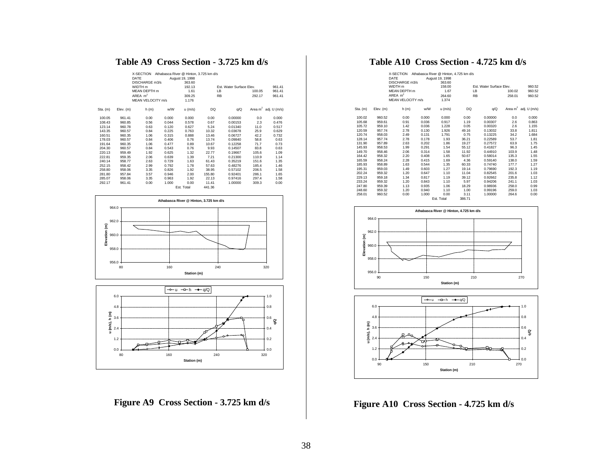# **Table A9 Cross Section - 3.725 km d/s**

|          |           | X-SECTION<br>DATE<br>DISCHARGE m3/s |       | Athabasca River @ Hinton, 3.725 km d/s<br>August 19, 1998<br>363.60 |           |                          |        |                         |
|----------|-----------|-------------------------------------|-------|---------------------------------------------------------------------|-----------|--------------------------|--------|-------------------------|
|          |           | WIDTH <sub>m</sub>                  |       | 192.13                                                              |           | Est. Water Surface Elev. |        | 961.41                  |
|          |           | MEAN DEPTH m                        |       | 1.61                                                                | LB        |                          | 100.05 | 961.41                  |
|          |           | AREA $m2$                           |       | 309.25                                                              | <b>RB</b> |                          | 292.17 | 961.41                  |
|          |           | MEAN VELOCITY m/s                   |       | 1.176                                                               |           |                          |        |                         |
| Sta. (m) | Elev. (m) | h(m)                                | w/W   | $u$ (m/s)                                                           | DQ        | q/Q                      |        | Area $m^2$ adj. U (m/s) |
| 100.05   | 961.41    | 0.00                                | 0.000 | 0.000                                                               | 0.00      | 0.00000                  | 0.0    | 0.000                   |
| 108.43   | 960.85    | 0.56                                | 0.044 | 0.578                                                               | 0.67      | 0.00153                  | 2.3    | 0.476                   |
| 123.14   | 960.78    | 0.63                                | 0.120 | 0.627                                                               | 5.24      | 0.01340                  | 11.0   | 0.517                   |
| 143.35   | 960.57    | 0.84                                | 0.225 | 0.763                                                               | 10.32     | 0.03678                  | 25.9   | 0.629                   |
| 160.51   | 960.35    | 1.06                                | 0.315 | 0.888                                                               | 13.46     | 0.06727                  | 42.2   | 0.732                   |
| 178.03   | 960.57    | 0.84                                | 0.406 | 0.76                                                                | 13.74     | 0.09840                  | 58.8   | 0.63                    |
| 191.64   | 960.35    | 1.06                                | 0.477 | 0.89                                                                | 10.67     | 0.12258                  | 71.7   | 0.73                    |
| 204.30   | 960.57    | 0.84                                | 0.543 | 0.76                                                                | 9.93      | 0.14507                  | 83.8   | 0.63                    |
| 220.13   | 959.49    | 1.92                                | 0.625 | 1.32                                                                | 22.77     | 0.19667                  | 105.6  | 1.09                    |
| 222.81   | 959.35    | 2.06                                | 0.639 | 1.39                                                                | 7.21      | 0.21300                  | 110.9  | 1.14                    |
| 240.14   | 958.77    | 2.63                                | 0.729 | 1.63                                                                | 61.43     | 0.35219                  | 151.6  | 1.35                    |
| 252.15   | 958.42    | 2.99                                | 0.792 | 1.78                                                                | 57.63     | 0.48276                  | 185.4  | 1.46                    |
| 258.80   | 958.06    | 3.35                                | 0.826 | 1.92                                                                | 38.95     | 0.57102                  | 206.5  | 1.58                    |
| 281.80   | 957.84    | 3.57                                | 0.946 | 2.00                                                                | 155.80    | 0.92401                  | 286.1  | 1.65                    |
| 285.07   | 958.06    | 3.35                                | 0.963 | 1.92                                                                | 22.13     | 0.97416                  | 297.4  | 1.58                    |
| 292.17   | 961.41    | 0.00                                | 1.000 | 0.00                                                                | 11.41     | 1.00000                  | 309.3  | 0.00                    |
|          |           |                                     |       | Est. Total                                                          | 441.36    |                          |        |                         |





**Figure A9 Cross Section - 3.725 km d/s**

# **Table A10 Cross Section - 4.725 km d/s**

|          |           | X-SECTION<br>DATE<br>DISCHARGE m3/s |       | Athabasca River @ Hinton, 4.725 km d/s<br>August 19, 1998<br>363.60 |        |                          |        |                         |
|----------|-----------|-------------------------------------|-------|---------------------------------------------------------------------|--------|--------------------------|--------|-------------------------|
|          |           | WIDTH <sub>m</sub>                  |       | 158.00                                                              |        | Est. Water Surface Elev. |        | 960.52                  |
|          |           | MEAN DEPTH m                        |       | 1.67                                                                |        | LB                       | 100.02 | 960.52                  |
|          |           | AREA $m2$                           |       | 264.60                                                              |        | <b>RB</b>                | 258.01 | 960.52                  |
|          |           | MEAN VELOCITY m/s                   |       | 1.374                                                               |        |                          |        |                         |
| Sta. (m) | Elev. (m) | h(m)                                | w/W   | $u$ (m/s)                                                           | DQ     | q/Q                      |        | Area $m^2$ adj. U (m/s) |
| 100.02   | 960.52    | 0.00                                | 0.000 | 0.000                                                               | 0.00   | 0.00000                  | 0.0    | 0.000                   |
| 105.68   | 959.61    | 0.91                                | 0.036 | 0.917                                                               | 1.19   | 0.00307                  | 2.6    | 0.863                   |
| 105.72   | 959.10    | 1.42                                | 0.036 | 1.228                                                               | 0.05   | 0.00320                  | 2.6    | 1.155                   |
| 120.59   | 957.74    | 2.78                                | 0.130 | 1.926                                                               | 49.16  | 0.13032                  | 33.8   | 1.811                   |
| 120.74   | 958.03    | 2.49                                | 0.131 | 1.791                                                               | 0.75   | 0.13225                  | 34.2   | 1.684                   |
| 128.14   | 957.74    | 2.78                                | 0.178 | 1.93                                                                | 36.21  | 0.22589                  | 53.7   | 1.81                    |
| 131.90   | 957.89    | 2.63                                | 0.202 | 1.86                                                                | 19.27  | 0.27572                  | 63.9   | 1.75                    |
| 145.93   | 958.53    | 1.99                                | 0.291 | 1.54                                                                | 55.12  | 0.41827                  | 96.3   | 1.45                    |
| 149.70   | 958.46    | 2.06                                | 0.314 | 1.58                                                                | 11.92  | 0.44910                  | 103.9  | 1.48                    |
| 164.42   | 958.32    | 2.20                                | 0.408 | 1.65                                                                | 50.67  | 0.58014                  | 135.3  | 1.55                    |
| 165.59   | 958.24    | 2.28                                | 0.415 | 1.69                                                                | 4.36   | 0.59140                  | 138.0  | 1.59                    |
| 185.93   | 958.89    | 1.63                                | 0.544 | 1.35                                                                | 60.33  | 0.74740                  | 177.7  | 1.27                    |
| 195.31   | 959.03    | 1.49                                | 0.603 | 1.27                                                                | 19.14  | 0.79690                  | 192.3  | 1.19                    |
| 202.24   | 959.32    | 1.20                                | 0.647 | 1.10                                                                | 11.04  | 0.82545                  | 201.6  | 1.03                    |
| 229.13   | 959.18    | 1.34                                | 0.817 | 1.19                                                                | 39.12  | 0.92662                  | 235.8  | 1.12                    |
| 233.24   | 959.32    | 1.20                                | 0.843 | 1.10                                                                | 5.97   | 0.94206                  | 241.1  | 1.03                    |
| 247.80   | 959.39    | 1.13                                | 0.935 | 1.06                                                                | 18.29  | 0.98936                  | 258.0  | 0.99                    |
| 248.60   | 959.32    | 1.20                                | 0.940 | 1.10                                                                | 1.00   | 0.99196                  | 259.0  | 1.03                    |
| 258.01   | 960.52    | 0.00                                | 1.000 | 0.00                                                                | 3.11   | 1.00000                  | 264.6  | 0.00                    |
|          |           |                                     |       | Est. Total                                                          | 386.71 |                          |        |                         |





**Figure A10 Cross Section - 4.725 km d/s**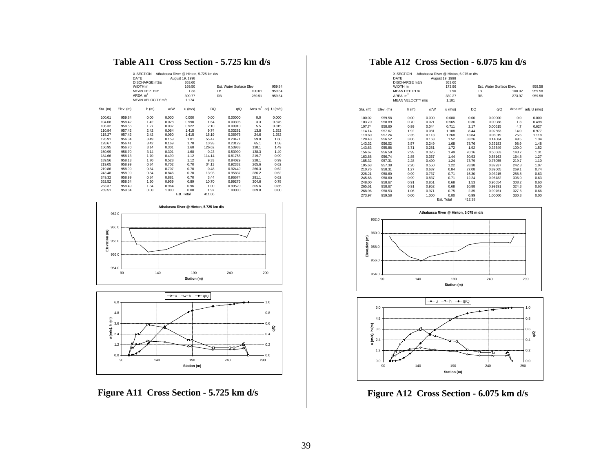# **Table A11 Cross Section - 5.725 km d/s**

|          |           | X-SECTION<br>DATE<br>DISCHARGE m3/s<br>WIDTH <sub>m</sub><br>MFAN DFPTH m<br>AREA $m2$<br><b>MEAN VELOCITY m/s</b> |       | Athabasca River @ Hinton, 5,725 km d/s<br>August 19, 1998<br>363.60<br>169.50<br>1.83<br>309.77<br>1.174 |        | Est. Water Surface Elev.<br>IB<br><b>RB</b> | 100.01<br>269.51 | 959.84<br>959.84<br>959.84 |
|----------|-----------|--------------------------------------------------------------------------------------------------------------------|-------|----------------------------------------------------------------------------------------------------------|--------|---------------------------------------------|------------------|----------------------------|
|          |           |                                                                                                                    |       |                                                                                                          |        |                                             |                  |                            |
| Sta. (m) | Elev. (m) | h(m)                                                                                                               | w/W   | $u$ (m/s)                                                                                                | DQ     | q/Q                                         |                  | Area $m^2$ adj. U (m/s)    |
| 100.01   | 959.84    | 0.00                                                                                                               | 0.000 | 0.000                                                                                                    | 0.00   | 0.00000                                     | 0.0              | 0.000                      |
| 104.68   | 958.42    | 1.42                                                                                                               | 0.028 | 0.990                                                                                                    | 1.64   | 0.00398                                     | 3.3              | 0.876                      |
| 106.32   | 958.56    | 1.27                                                                                                               | 0.037 | 0.922                                                                                                    | 2.10   | 0.00910                                     | 5.5              | 0.815                      |
| 110.84   | 957.42    | 2.42                                                                                                               | 0.064 | 1.415                                                                                                    | 9.74   | 0.03281                                     | 13.8             | 1.252                      |
| 115.27   | 957.42    | 2.42                                                                                                               | 0.090 | 1.415                                                                                                    | 15.19  | 0.06975                                     | 24.6             | 1.252                      |
| 126.91   | 956.34    | 3.49                                                                                                               | 0.159 | 1.81                                                                                                     | 55.47  | 0.20471                                     | 59.0             | 1.60                       |
| 128.67   | 956.41    | 3.42                                                                                                               | 0.169 | 1.78                                                                                                     | 10.93  | 0.23129                                     | 65.1             | 1.58                       |
| 150.95   | 956.70    | 3.14                                                                                                               | 0.301 | 1.68                                                                                                     | 126.62 | 0.53933                                     | 138.1            | 1.49                       |
| 150.99   | 956.70    | 3.14                                                                                                               | 0.301 | 1.68                                                                                                     | 0.23   | 0.53990                                     | 138.3            | 1.49                       |
| 184.66   | 958.13    | 1.70                                                                                                               | 0.499 | 1.12                                                                                                     | 114.14 | 0.81758                                     | 219.7            | 0.99                       |
| 189.56   | 958.13    | 1.70                                                                                                               | 0.528 | 1.12                                                                                                     | 9.33   | 0.84029                                     | 228.1            | 0.99                       |
| 219.05   | 958.99    | 0.84                                                                                                               | 0.702 | 0.70                                                                                                     | 34.13  | 0.92332                                     | 265.6            | 0.62                       |
| 219.86   | 958.99    | 0.84                                                                                                               | 0.707 | 0.70                                                                                                     | 0.48   | 0.92449                                     | 266.3            | 0.62                       |
| 243.48   | 958.99    | 0.84                                                                                                               | 0.846 | 0.70                                                                                                     | 13.93  | 0.95837                                     | 286.2            | 0.62                       |
| 249.32   | 958.99    | 0.84                                                                                                               | 0.881 | 0.70                                                                                                     | 3.44   | 0.96674                                     | 291.1            | 0.62                       |
| 262.52   | 958.64    | 1.20                                                                                                               | 0.959 | 0.89                                                                                                     | 10.70  | 0.99276                                     | 304.6            | 0.78                       |
| 263.37   | 958.49    | 1.34                                                                                                               | 0.964 | 0.96                                                                                                     | 1.00   | 0.99520                                     | 305.6            | 0.85                       |
| 269.51   | 959.84    | 0.00                                                                                                               | 1.000 | 0.00                                                                                                     | 1.97   | 1.00000                                     | 309.8            | 0.00                       |
|          |           |                                                                                                                    |       | Est. Total                                                                                               | 411.06 |                                             |                  |                            |





**Figure A11 Cross Section - 5.725 km d/s**

# **Table A12 Cross Section - 6.075 km d/s**

|          |           | X-SECTION<br>DATE |       | Athabasca River @ Hinton, 6,075 m d/s<br>August 19, 1998 |        |                          |                         |
|----------|-----------|-------------------|-------|----------------------------------------------------------|--------|--------------------------|-------------------------|
|          |           | DISCHARGE m3/s    |       | 363.60                                                   |        |                          |                         |
|          |           | WIDTH m           |       | 173.96                                                   |        | Est. Water Surface Elev. | 959.58                  |
|          |           | MEAN DEPTH m      |       | 1.90                                                     |        | IB.<br>100.02            | 959.58                  |
|          |           | AREA $m2$         |       | 330.27                                                   |        | <b>RB</b><br>273.97      | 959.58                  |
|          |           | MFAN VFLOCITY m/s |       | 1.101                                                    |        |                          |                         |
| Sta. (m) | Elev. (m) | h(m)              | w/W   | $u$ (m/s)                                                | DQ     | q/Q                      | Area $m^2$ adj. U (m/s) |
| 100.02   | 959.58    | 0.00              | 0.000 | 0.000                                                    | 0.00   | 0.00000<br>0.0           | 0.000                   |
| 103.70   | 958.89    | 0.70              | 0.021 | 0.565                                                    | 0.36   | 0.00088<br>1.3           | 0.498                   |
| 107.74   | 958.60    | 0.99              | 0.044 | 0.711                                                    | 2.17   | 4.7<br>0.00615           | 0.627                   |
| 114.14   | 957.67    | 1.92              | 0.081 | 1.108                                                    | 8.44   | 0.02663<br>14.0          | 0.977                   |
| 119.60   | 957.24    | 2.35              | 0.113 | 1.268                                                    | 13.84  | 0.06019<br>25.6          | 1.118                   |
| 128.43   | 956.52    | 3.06              | 0.163 | 1.52                                                     | 33.26  | 49.5<br>0.14084          | 1.34                    |
| 143.32   | 956.02    | 3.57              | 0.249 | 1.68                                                     | 78.76  | 98.9<br>0.33183          | 1.48                    |
| 143.63   | 955.88    | 3.71              | 0.251 | 1.72                                                     | 1.92   | 100.0<br>0.33649         | 1.52                    |
| 156.67   | 956.59    | 2.99              | 0.326 | 1.49                                                     | 70.16  | 0.50663<br>143.7         | 1.31                    |
| 163.88   | 956.74    | 2.85              | 0.367 | 1.44                                                     | 30.93  | 164.8<br>0.58163         | 1.27                    |
| 185.32   | 957.31    | 2.28              | 0.490 | 1.24                                                     | 73.79  | 219.7<br>0.76055         | 1.10                    |
| 195.63   | 957.38    | 2.20              | 0.550 | 1.22                                                     | 28.38  | 242.8<br>0.82937         | 1.07                    |
| 210.76   | 958.31    | 1.27              | 0.637 | 0.84                                                     | 27.08  | 269.1<br>0.89505         | 0.74                    |
| 228.21   | 958.60    | 0.99              | 0.737 | 0.71                                                     | 15.30  | 288.8<br>0.93215         | 0.63                    |
| 245.68   | 958.60    | 0.99              | 0.837 | 0.71                                                     | 12.24  | 306.0<br>0.96182         | 0.63                    |
| 248.00   | 958.67    | 0.91              | 0.851 | 0.68                                                     | 1.53   | 308.2<br>0.96554         | 0.60                    |
| 265.61   | 958.67    | 0.91              | 0.952 | 0.68                                                     | 10.88  | 324.3<br>0.99191         | 0.60                    |
| 268.96   | 958.53    | 1.06              | 0.971 | 0.75                                                     | 2.35   | 327.6<br>0.99761         | 0.66                    |
| 273.97   | 959.58    | 0.00              | 1.000 | 0.00                                                     | 0.99   | 330.3<br>1.00000         | 0.00                    |
|          |           |                   |       | Est. Total                                               | 412.38 |                          |                         |





**Figure A12 Cross Section - 6.075 km d/s**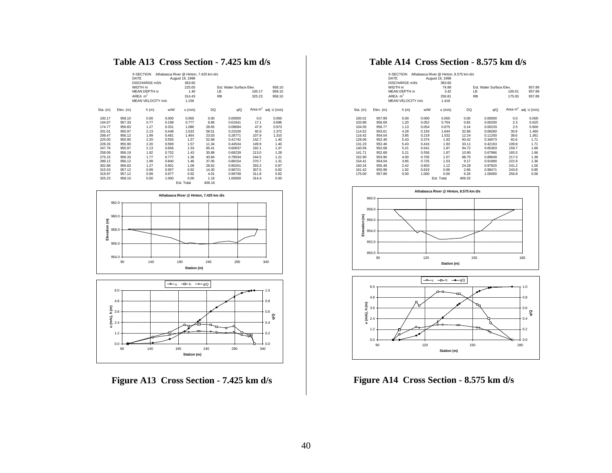# **Table A13 Cross Section - 7.425 km d/s**

|          |           | X-SECTION<br>DATE         |       | Athabasca River @ Hinton, 7.425 km d/s |           |                          |        |                         |
|----------|-----------|---------------------------|-------|----------------------------------------|-----------|--------------------------|--------|-------------------------|
|          |           |                           |       | August 19, 1998                        |           |                          |        |                         |
|          |           | DISCHARGE m3/s<br>WIDTH m |       | 363.60<br>225.05                       |           | Est. Water Surface Elev. |        |                         |
|          |           | MEAN DEPTH m              |       | 1.40                                   | LB        |                          |        | 958.10<br>958.10        |
|          |           |                           |       |                                        |           |                          | 100.17 |                         |
|          |           | AREA $m2$                 |       | 314.43                                 | <b>RB</b> |                          | 325.23 | 958.10                  |
|          |           | MEAN VELOCITY m/s         |       | 1.156                                  |           |                          |        |                         |
| Sta. (m) | Elev. (m) | h(m)                      | w/W   | $u$ (m/s)                              | <b>DQ</b> | q/Q                      |        | Area $m^2$ adj. U (m/s) |
| 100.17   | 958.10    | 0.00                      | 0.000 | 0.000                                  | 0.00      | 0.00000                  | 0.0    | 0.000                   |
| 144.67   | 957.33    | 0.77                      | 0.198 | 0.777                                  | 6.66      | 0.01641                  | 17.1   | 0.696                   |
| 174.77   | 956.83    | 1.27                      | 0.331 | 1.086                                  | 28.65     | 0.08694                  | 47.9   | 0.973                   |
| 201.01   | 955.97    | 2.13                      | 0.448 | 1.533                                  | 58.51     | 0.23100                  | 92.6   | 1.372                   |
| 208.47   | 956.12    | 1.99                      | 0.481 | 1.464                                  | 23.03     | 0.28771                  | 107.9  | 1.310                   |
| 225.05   | 955.90    | 2.20                      | 0.555 | 1.57                                   | 52.68     | 0.41742                  | 142.7  | 1.40                    |
| 228.33   | 955.90    | 2.20                      | 0.569 | 1.57                                   | 11.34     | 0.44534                  | 149.9  | 1.40                    |
| 247.79   | 955.97    | 2.13                      | 0.656 | 1.53                                   | 65.41     | 0.60637                  | 192.1  | 1.37                    |
| 258.09   | 956.19    | 1.92                      | 0.702 | 1.43                                   | 30.88     | 0.68239                  | 213.0  | 1.28                    |
| 275.15   | 956.33    | 1.77                      | 0.777 | 1.36                                   | 43.84     | 0.79034                  | 244.5  | 1.21                    |
| 289.12   | 956.12    | 1.99                      | 0.840 | 1.46                                   | 37.05     | 0.88154                  | 270.7  | 1.31                    |
| 302.88   | 956.83    | 1.27                      | 0.901 | 1.09                                   | 28.62     | 0.95201                  | 293.2  | 0.97                    |
| 315.53   | 957.12    | 0.99                      | 0.957 | 0.92                                   | 14.30     | 0.98721                  | 307.5  | 0.82                    |
| 319.97   | 957.12    | 0.99                      | 0.977 | 0.92                                   | 4.01      | 0.99708                  | 311.8  | 0.82                    |
| 325.23   | 958.10    | 0.00                      | 1.000 | 0.00                                   | 1.19      | 1.00000                  | 314.4  | 0.00                    |
|          |           |                           |       | <b>Est. Total</b>                      | 406.16    |                          |        |                         |





**Figure A13 Cross Section - 7.425 km d/s**

# **Table A14 Cross Section - 8.575 km d/s**

|          |           | X-SECTION         |       | Athabasca River @ Hinton, 8.575 km d/s |           |                          |        |                         |
|----------|-----------|-------------------|-------|----------------------------------------|-----------|--------------------------|--------|-------------------------|
|          |           | DATE              |       | August 19, 1998                        |           |                          |        |                         |
|          |           | DISCHARGE m3/s    |       | 363.60                                 |           |                          |        |                         |
|          |           | WIDTH m           |       | 74.99                                  |           | Est. Water Surface Elev. |        | 957.89                  |
|          |           | MFAN DFPTH m      |       | 3.42                                   | LB.       |                          | 100.01 | 957.89                  |
|          |           | AREA $m2$         |       | 256.81                                 | <b>RB</b> |                          | 175.00 | 957.89                  |
|          |           | MEAN VELOCITY m/s |       | 1.416                                  |           |                          |        |                         |
| Sta. (m) | Elev. (m) | h(m)              | w/W   | u (m/s)                                | DQ        | q/Q                      |        | Area $m^2$ adj. U (m/s) |
| 100.01   | 957.89    | 0.00              | 0.000 | 0.000                                  | 0.00      | 0.00000                  | 0.0    | 0.000                   |
| 103.88   | 956.69    | 1.20              | 0.052 | 0.704                                  | 0.82      | 0.00200                  | 2.3    | 0.625                   |
| 104.05   | 956.77    | 1.13              | 0.054 | 0.675                                  | 0.14      | 0.00233                  | 2.5    | 0.600                   |
| 114.52   | 953.61    | 4.28              | 0.193 | 1.644                                  | 32.86     | 0.08260                  | 30.9   | 1.460                   |
| 116.42   | 954.04    | 3.85              | 0.219 | 1.532                                  | 12.24     | 0.11250                  | 38.6   | 1.361                   |
| 128.06   | 952.46    | 5.43              | 0.374 | 1.93                                   | 93.42     | 0.34073                  | 92.6   | 1.71                    |
| 131.23   | 952.46    | 5.43              | 0.416 | 1.93                                   | 33.11     | 0.42163                  | 109.8  | 1.71                    |
| 140.59   | 952.68    | 5.21              | 0.541 | 1.87                                   | 94.72     | 0.65303                  | 159.7  | 1.66                    |
| 141.71   | 952.68    | 5.21              | 0.556 | 1.87                                   | 10.90     | 0.67966                  | 165.5  | 1.66                    |
| 152.90   | 953.90    | 4.00              | 0.705 | 1.57                                   | 88.75     | 0.89649                  | 217.0  | 1.39                    |
| 154.41   | 954.04    | 3.85              | 0.725 | 1.53                                   | 9.17      | 0.91890                  | 222.9  | 1.36                    |
| 160.24   | 955.48    | 2.42              | 0.803 | 1.12                                   | 24.28     | 0.97820                  | 241.2  | 1.00                    |
| 161.42   | 955.98    | 1.92              | 0.819 | 0.96                                   | 2.66      | 0.98471                  | 243.8  | 0.85                    |
| 175.00   | 957.89    | 0.00              | 1.000 | 0.00                                   | 6.26      | 1.00000                  | 256.8  | 0.00                    |
|          |           |                   |       | Est. Total                             | 409.33    |                          |        |                         |





**Figure A14 Cross Section - 8.575 km d/s**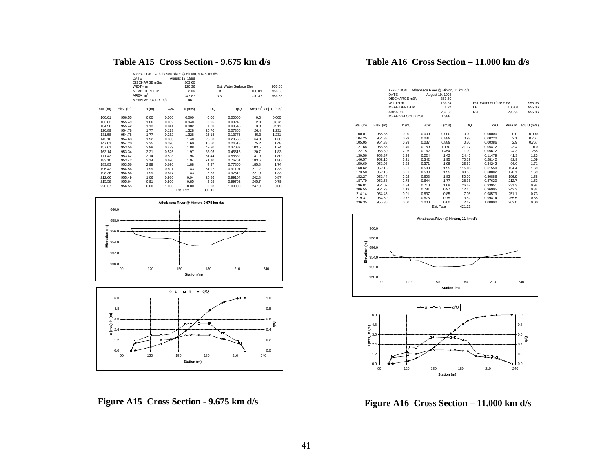# **Table A15 Cross Section - 9.675 km d/s**

|          |           | X-SECTION<br>DATE<br>DISCHARGE m3/s<br>WIDTH m |       | Athabasca River @ Hinton, 9.675 km d/s<br>August 19, 1998<br>363.60<br>120.36 |        | Est. Water Surface Flev. |        | 956.55                  |
|----------|-----------|------------------------------------------------|-------|-------------------------------------------------------------------------------|--------|--------------------------|--------|-------------------------|
|          |           | MFAN DFPTH m                                   |       | 2.06                                                                          |        | IB                       | 100.01 | 956.55                  |
|          |           | AREA $m2$                                      |       | 247.87                                                                        |        | <b>RB</b>                | 220.37 | 956.55                  |
|          |           | MFAN VELOCITY m/s                              |       | 1.467                                                                         |        |                          |        |                         |
|          |           |                                                |       |                                                                               |        |                          |        |                         |
| Sta. (m) | Elev. (m) | h(m)                                           | w/W   | $u$ (m/s)                                                                     | DQ     | q/Q                      |        | Area $m^2$ adj. U (m/s) |
| 100.01   | 956.55    | 0.00                                           | 0.000 | 0.000                                                                         | 0.00   | 0.00000                  | 0.0    | 0.000                   |
| 103.82   | 955.49    | 1.06                                           | 0.032 | 0.940                                                                         | 0.95   | 0.00242                  | 2.0    | 0.872                   |
| 104.96   | 955.42    | 1.13                                           | 0.041 | 0.982                                                                         | 1.20   | 0.00548                  | 3.3    | 0.911                   |
| 120.89   | 954.78    | 1.77                                           | 0.173 | 1.328                                                                         | 26.70  | 0.07355                  | 26.4   | 1.231                   |
| 131.58   | 954.78    | 1.77                                           | 0.262 | 1.328                                                                         | 25.18  | 0.13775                  | 45.3   | 1.231                   |
| 142.16   | 954.63    | 1.92                                           | 0.350 | 1.40                                                                          | 26.63  | 0.20566                  | 64.9   | 1.30                    |
| 147.01   | 954.20    | 2.35                                           | 0.390 | 1.60                                                                          | 15.50  | 0.24518                  | 75.2   | 1.48                    |
| 157.61   | 953.56    | 2.99                                           | 0.479 | 1.88                                                                          | 49.30  | 0.37087                  | 103.5  | 1.74                    |
| 163.14   | 953.34    | 3.21                                           | 0.525 | 1.97                                                                          | 33.06  | 0.45516                  | 120.7  | 1.83                    |
| 171.43   | 953.42    | 3.14                                           | 0.593 | 1.94                                                                          | 51.44  | 0.58632                  | 147.0  | 1.80                    |
| 183.10   | 953.42    | 3.14                                           | 0.690 | 1.94                                                                          | 71.10  | 0.76761                  | 183.6  | 1.80                    |
| 183.83   | 953.56    | 2.99                                           | 0.696 | 1.88                                                                          | 4.27   | 0.77850                  | 185.8  | 1.74                    |
| 196.42   | 954.56    | 1.99                                           | 0.801 | 1.43                                                                          | 51.97  | 0.91101                  | 217.2  | 1.33                    |
| 198.36   | 954.56    | 1.99                                           | 0.817 | 1.43                                                                          | 5.53   | 0.92512                  | 221.0  | 1.33                    |
| 212.66   | 955.49    | 1.06                                           | 0.936 | 0.94                                                                          | 25.86  | 0.99104                  | 242.8  | 0.87                    |
| 215.58   | 955.64    | 0.91                                           | 0.960 | 0.85                                                                          | 2.58   | 0.99762                  | 245.7  | 0.79                    |
| 220.37   | 956.55    | 0.00                                           | 1.000 | 0.00                                                                          | 0.93   | 1.00000                  | 247.9  | 0.00                    |
|          |           |                                                |       | Est. Total                                                                    | 392.19 |                          |        |                         |





**Figure A15 Cross Section - 9.675 km d/s**

# **Table A16 Cross Section – 11.000 km d/s**

|          |           | X-SECTION<br>DATE<br>DISCHARGE m3/s<br>WIDTH <sub>m</sub> |       | Athabasca River @ Hinton, 11 km d/s<br>August 19, 1998<br>363.60<br>136.34 |        | <b>Est. Water Surface Elev.</b> |        | 955.36                  |
|----------|-----------|-----------------------------------------------------------|-------|----------------------------------------------------------------------------|--------|---------------------------------|--------|-------------------------|
|          |           | MEAN DEPTH m                                              |       | 1.92                                                                       |        | LB                              | 100.01 | 955.36                  |
|          |           | AREA $m2$                                                 |       | 262.00                                                                     |        | <b>RB</b>                       | 236.35 | 955.36                  |
|          |           | MEAN VELOCITY m/s                                         |       | 1.388                                                                      |        |                                 |        |                         |
|          |           |                                                           |       |                                                                            |        |                                 |        |                         |
| Sta. (m) | Elev. (m) | h(m)                                                      | w/W   | $u$ (m/s)                                                                  | DQ     | q/Q                             |        | Area $m^2$ adj. U (m/s) |
| 100.01   | 955.36    | 0.00                                                      | 0.000 | 0.000                                                                      | 0.00   | 0.00000                         | 0.0    | 0.000                   |
| 104.25   | 954.38    | 0.99                                                      | 0.031 | 0.889                                                                      | 0.93   | 0.00220                         | 2.1    | 0.767                   |
| 105.05   | 954.38    | 0.99                                                      | 0.037 | 0.889                                                                      | 0.70   | 0.00386                         | 2.9    | 0.767                   |
| 121.68   | 953.88    | 1.49                                                      | 0.159 | 1.170                                                                      | 21.17  | 0.05412                         | 23.4   | 1.010                   |
| 122.15   | 953.30    | 2.06                                                      | 0.162 | 1.454                                                                      | 1.09   | 0.05672                         | 24.3   | 1.255                   |
| 130.56   | 953.37    | 1.99                                                      | 0.224 | 1.42                                                                       | 24.46  | 0.11479                         | 41.3   | 1.23                    |
| 146.57   | 952.15    | 3.21                                                      | 0.342 | 1.95                                                                       | 70.19  | 0.28142                         | 82.9   | 1.69                    |
| 150.60   | 952.08    | 3.28                                                      | 0.371 | 1.98                                                                       | 25.69  | 0.34242                         | 96.0   | 1.71                    |
| 168.62   | 952.15    | 3.21                                                      | 0.503 | 1.95                                                                       | 115.03 | 0.61550                         | 154.4  | 1.69                    |
| 173.50   | 952.15    | 3.21                                                      | 0.539 | 1.95                                                                       | 30.55  | 0.68802                         | 170.1  | 1.69                    |
| 182.27   | 952.44    | 2.92                                                      | 0.603 | 1.83                                                                       | 50.90  | 0.80886                         | 196.9  | 1.58                    |
| 187.79   | 952.58    | 2.78                                                      | 0.644 | 1.77                                                                       | 28.36  | 0.87620                         | 212.7  | 1.53                    |
| 196.81   | 954.02    | 1.34                                                      | 0.710 | 1.09                                                                       | 26.67  | 0.93951                         | 231.3  | 0.94                    |
| 206.55   | 954.23    | 1.13                                                      | 0.781 | 0.97                                                                       | 12.45  | 0.96905                         | 243.3  | 0.84                    |
| 214.14   | 954.45    | 0.91                                                      | 0.837 | 0.85                                                                       | 7.05   | 0.98579                         | 251.1  | 0.73                    |
| 219.37   | 954.59    | 0.77                                                      | 0.875 | 0.75                                                                       | 3.52   | 0.99414                         | 255.5  | 0.65                    |
| 236.35   | 955.36    | 0.00                                                      | 1.000 | 0.00                                                                       | 2.47   | 1.00000                         | 262.0  | 0.00                    |
|          |           |                                                           |       | Est. Total                                                                 | 421.22 |                                 |        |                         |





**Figure A16 Cross Section – 11.000 km d/s**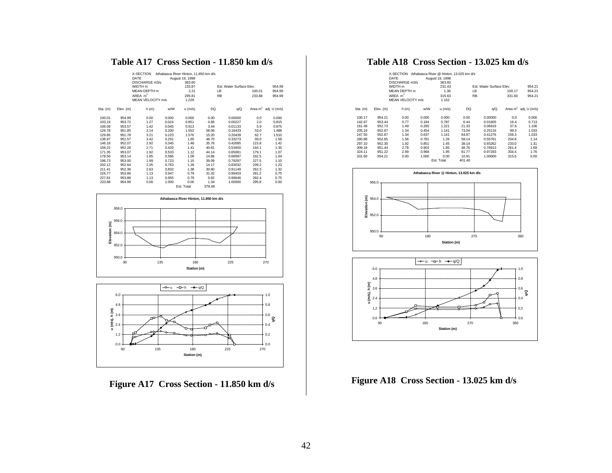# **Table A17 Cross Section - 11.850 km d/s**

|          |           | X-SECTION<br>DATE<br>DISCHARGE m3/s<br>WIDTH <sub>m</sub><br><b>MEAN DEPTH</b> m<br>$AREA$ m <sup>2</sup><br>MEAN VELOCITY m/s |       | Athabasca River Hinton, 11.850 km d/s<br>August 19, 1998<br>363.60<br>133.87<br>2.21<br>295.81<br>1.229 |        | <b>Est. Water Surface Elev.</b><br>LB<br><b>RB</b> | 100.01<br>233.88 | 954.99<br>954.99<br>954.99 |
|----------|-----------|--------------------------------------------------------------------------------------------------------------------------------|-------|---------------------------------------------------------------------------------------------------------|--------|----------------------------------------------------|------------------|----------------------------|
| Sta. (m) | Elev. (m) | h(m)                                                                                                                           | w/W   | u (m/s)                                                                                                 | DQ     | q/Q                                                |                  | Area $m^2$ adj. U (m/s)    |
| 100.01   | 954.99    | 0.00                                                                                                                           | 0.000 | 0.000                                                                                                   | 0.00   | 0.00000                                            | 0.0              | 0.000                      |
| 103.19   | 953.72    | 1.27                                                                                                                           | 0.024 | 0.851                                                                                                   | 0.86   | 0.00227                                            | 2.0              | 0.815                      |
| 106.09   | 953.57    | 1.42                                                                                                                           | 0.045 | 0.913                                                                                                   | 3.44   | 0.01133                                            | 5.9              | 0.875                      |
| 126.78   | 951.85    | 3.14                                                                                                                           | 0.200 | 1.552                                                                                                   | 58.06  | 0.16433                                            | 53.0             | 1.488                      |
| 129.85   | 951.78    | 3.21                                                                                                                           | 0.223 | 1.576                                                                                                   | 15.20  | 0.20439                                            | 62.7             | 1.510                      |
| 138.97   | 951.57    | 3.42                                                                                                                           | 0.291 | 1.65                                                                                                    | 48.70  | 0.33273                                            | 93.0             | 1.58                       |
| 146.18   | 952.07    | 2.92                                                                                                                           | 0.345 | 1.48                                                                                                    | 35.76  | 0.42695                                            | 115.8            | 1.42                       |
| 156.22   | 952.28    | 2.71                                                                                                                           | 0.420 | 1.41                                                                                                    | 40.81  | 0.53450                                            | 144.1            | 1.35                       |
| 171.35   | 953.07    | 1.92                                                                                                                           | 0.533 | 1.12                                                                                                    | 44.14  | 0.65081                                            | 179.1            | 1.07                       |
| 178.50   | 953.14    | 1.85                                                                                                                           | 0.586 | 1.09                                                                                                    | 14.86  | 0.68997                                            | 192.5            | 1.04                       |
| 196.73   | 953.00    | 1.99                                                                                                                           | 0.723 | 1.15                                                                                                    | 39.09  | 0.79297                                            | 227.5            | 1.10                       |
| 202.12   | 952.64    | 2.35                                                                                                                           | 0.763 | 1.28                                                                                                    | 14.17  | 0.83032                                            | 239.2            | 1.23                       |
| 211.41   | 952.36    | 2.63                                                                                                                           | 0.832 | 1.38                                                                                                    | 30.80  | 0.91149                                            | 262.3            | 1.32                       |
| 226.77   | 953.86    | 1.13                                                                                                                           | 0.947 | 0.79                                                                                                    | 31.32  | 0.99403                                            | 291.2            | 0.75                       |
| 227.81   | 953.86    | 1.13                                                                                                                           | 0.955 | 0.79                                                                                                    | 0.92   | 0.99646                                            | 292.4            | 0.75                       |
| 233.88   | 954.99    | 0.00                                                                                                                           | 1.000 | 0.00                                                                                                    | 1.34   | 1.00000                                            | 295.8            | 0.00                       |
|          |           |                                                                                                                                |       | Est. Total                                                                                              | 379.48 |                                                    |                  |                            |





**Figure A17 Cross Section - 11.850 km d/s**

# **Table A18 Cross Section - 13.025 km d/s**

|          |              | X-SECTION<br>DATE<br>DISCHARGE m3/s |       | Athabasca River @ Hinton, 13,025 km d/s<br>August 19, 1998<br>363.60 |           |                          |        |                         |  |
|----------|--------------|-------------------------------------|-------|----------------------------------------------------------------------|-----------|--------------------------|--------|-------------------------|--|
|          |              | WIDTH m                             |       | 231.43                                                               |           | Est. Water Surface Elev. |        |                         |  |
|          | MEAN DEPTH m |                                     |       | 1.36                                                                 | LB        |                          | 100.17 | 954.21                  |  |
|          | ARFA $m2$    |                                     |       | 315.63                                                               | <b>RB</b> |                          | 331.60 | 954.21                  |  |
|          |              | MEAN VELOCITY m/s                   |       | 1.152                                                                |           |                          |        |                         |  |
| Sta. (m) | Elev. (m)    | h(m)                                | w/W   | $u$ (m/s)                                                            | DQ        | q/Q                      |        | Area $m^2$ adj. U (m/s) |  |
| 100.17   | 954.21       | 0.00                                | 0.000 | 0.000                                                                | 0.00      | 0.00000                  | 0.0    | 0.000                   |  |
| 142.67   | 953.44       | 0.77                                | 0.184 | 0.787                                                                | 6.44      | 0.01605                  | 16.4   | 0.713                   |  |
| 161.49   | 952.73       | 1.49                                | 0.265 | 1.221                                                                | 21.33     | 0.06919                  | 37.6   | 1.106                   |  |
| 205.19   | 952.87       | 1.34                                | 0.454 | 1.141                                                                | 73.04     | 0.25116                  | 99.5   | 1.033                   |  |
| 247.50   | 952.87       | 1.34                                | 0.637 | 1.141                                                                | 64.87     | 0.41276                  | 156.3  | 1.033                   |  |
| 280.88   | 952.65       | 1.56                                | 0.781 | 1.26                                                                 | 58.14     | 0.55761                  | 204.8  | 1.14                    |  |
| 297.10   | 952.30       | 1.92                                | 0.851 | 1.45                                                                 | 38.14     | 0.65262                  | 233.0  | 1.31                    |  |
| 309.18   | 951.44       | 2.78                                | 0.903 | 1.85                                                                 | 46.76     | 0.76913                  | 261.4  | 1.68                    |  |
| 324.11   | 951.22       | 2.99                                | 0.968 | 1.95                                                                 | 81.77     | 0.97283                  | 304.4  | 1.76                    |  |
| 331.60   | 954.21       | 0.00                                | 1.000 | 0.00                                                                 | 10.91     | 1.00000                  | 315.6  | 0.00                    |  |
|          |              |                                     |       | Est. Total                                                           | 401.40    |                          |        |                         |  |





**Figure A18 Cross Section - 13.025 km d/s**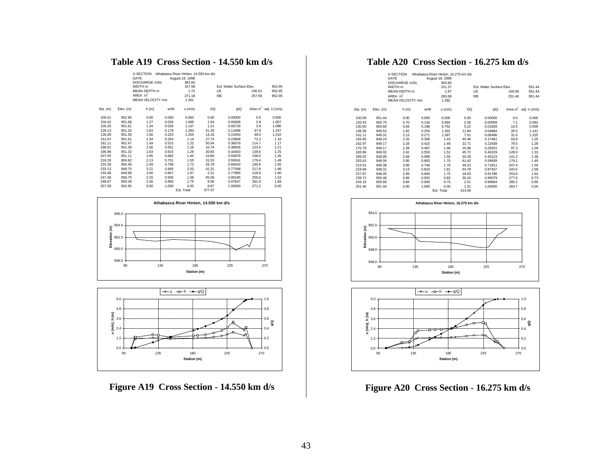# **Table A19 Cross Section - 14.550 km d/s**

|          |           | X-SECTION<br>DATE<br>DISCHARGE m3/s<br>WIDTH m<br>MEAN DEPTH m<br>AREA $m2$<br>MEAN VELOCITY m/s |       | Athabasca River Hinton, 14.550 km d/s<br>August 19, 1998<br>363.60<br>157.58<br>1.72<br>271.18<br>1.341 | LB<br><b>RB</b> | Est. Water Surface Flev. | 100.01<br>257.59 | 952.95<br>952.95<br>952.95 |
|----------|-----------|--------------------------------------------------------------------------------------------------|-------|---------------------------------------------------------------------------------------------------------|-----------------|--------------------------|------------------|----------------------------|
| Sta. (m) | Elev. (m) | h(m)                                                                                             | w/W   | $u$ (m/s)                                                                                               | DQ              | q/Q                      |                  | Area $m^2$ adj. U (m/s)    |
| 100.01   | 952.95    | 0.00                                                                                             | 0.000 | 0.000                                                                                                   | 0.00            | 0.00000                  | 0.0              | 0.000                      |
| 104.42   | 951.68    | 1.27                                                                                             | 0.028 | 1.096                                                                                                   | 1.54            | 0.00408                  | 2.8              | 1.057                      |
| 105.25   | 951.61    | 1.34                                                                                             | 0.033 | 1.137                                                                                                   | 1.21            | 0.00729                  | 3.9              | 1.096                      |
| 128.13   | 951.32    | 1.63                                                                                             | 0.178 | 1.294                                                                                                   | 41.35           | 0.11696                  | 37.9             | 1.247                      |
| 135.09   | 951.39    | 1.56                                                                                             | 0.223 | 1.255                                                                                                   | 14.16           | 0.15450                  | 49.0             | 1.210                      |
| 151.07   | 951.61    | 1.34                                                                                             | 0.324 | 1.14                                                                                                    | 27.74           | 0.22808                  | 72.2             | 1.10                       |
| 181.11   | 951.47    | 1.49                                                                                             | 0.515 | 1.22                                                                                                    | 50.04           | 0.36079                  | 114.7            | 1.17                       |
| 186.81   | 951.39    | 1.56                                                                                             | 0.551 | 1.26                                                                                                    | 10.74           | 0.38926                  | 123.4            | 1.21                       |
| 196.98   | 951.32    | 1.63                                                                                             | 0.615 | 1.29                                                                                                    | 20.65           | 0.44403                  | 139.6            | 1.25                       |
| 207.55   | 951.11    | 1.85                                                                                             | 0.682 | 1.40                                                                                                    | 24.80           | 0.50979                  | 158.0            | 1.35                       |
| 218.29   | 950.82    | 2.13                                                                                             | 0.751 | 1.55                                                                                                    | 31.53           | 0.59341                  | 179.4            | 1.49                       |
| 225.39   | 950.46    | 2.49                                                                                             | 0.796 | 1.72                                                                                                    | 26.78           | 0.66443                  | 195.8            | 1.65                       |
| 233.13   | 949.75    | 3.21                                                                                             | 0.845 | 2.03                                                                                                    | 41.31           | 0.77398                  | 217.8            | 1.96                       |
| 233.48   | 949.89    | 3.06                                                                                             | 0.847 | 1.97                                                                                                    | 2.21            | 0.77985                  | 218.9            | 1.90                       |
| 247.39   | 950.75    | 2.20                                                                                             | 0.935 | 1.58                                                                                                    | 65.09           | 0.95245                  | 255.6            | 1.53                       |
| 249.67   | 950.39    | 2.56                                                                                             | 0.950 | 1.75                                                                                                    | 9.06            | 0.97647                  | 261.0            | 1.69                       |
| 257.59   | 952.95    | 0.00                                                                                             | 1.000 | 0.00                                                                                                    | 8.87            | 1.00000                  | 271.2            | 0.00                       |
|          |           |                                                                                                  |       | Est. Total                                                                                              | 377.07          |                          |                  |                            |





**Figure A19 Cross Section - 14.550 km d/s**

# **Table A20 Cross Section - 16.275 km d/s**

|          |           | X-SECTION<br>DATE<br>DISCHARGE m3/s<br>WIDTH <sub>m</sub><br>MEAN DEPTH m<br>AREA $m2$<br><b>MEAN VELOCITY m/s</b> |       | Athabasca River Hinton, 16.275 km d/s<br>August 19, 1998<br>363.60<br>151.37<br>1.87<br>283.68<br>1.282 |        | Est. Water Surface Elev.<br>LB<br><b>RB</b> | 100.09<br>251.46 | 951.44<br>951.44<br>951.44 |
|----------|-----------|--------------------------------------------------------------------------------------------------------------------|-------|---------------------------------------------------------------------------------------------------------|--------|---------------------------------------------|------------------|----------------------------|
| Sta. (m) | Elev. (m) | h (m)                                                                                                              | w/W   | $u$ (m/s)                                                                                               | DQ     | q/Q                                         |                  | Area $m^2$ adj. U (m/s)    |
|          |           |                                                                                                                    |       |                                                                                                         |        |                                             |                  |                            |
| 100.09   | 951.44    | 0.00                                                                                                               | 0.000 | 0.000                                                                                                   | 0.00   | 0.00000                                     | 0.0              | 0.000                      |
| 120.43   | 950.75    | 0.70                                                                                                               | 0.134 | 0.664                                                                                                   | 2.36   | 0.00569                                     | 7.1              | 0.582                      |
| 130.00   | 950.60    | 0.84                                                                                                               | 0.198 | 0.752                                                                                                   | 5.22   | 0.01828                                     | 14.5             | 0.659                      |
| 138.36   | 949.53    | 1.92                                                                                                               | 0.253 | 1.301                                                                                                   | 11.84  | 0.04684                                     | 26.0             | 1.141                      |
| 141.11   | 949.31    | 2.13                                                                                                               | 0.271 | 1.397                                                                                                   | 7.51   | 0.06496                                     | 31.6             | 1.225                      |
| 155.95   | 949.24    | 2.20                                                                                                               | 0.369 | 1.43                                                                                                    | 45.46  | 0.17461                                     | 63.8             | 1.25                       |
| 162.97   | 949.17    | 2.28                                                                                                               | 0.415 | 1.46                                                                                                    | 22.71  | 0.22939                                     | 79.5             | 1.28                       |
| 170.79   | 949.17    | 2.28                                                                                                               | 0.467 | 1.46                                                                                                    | 25.96  | 0.29201                                     | 97.3             | 1.28                       |
| 183.86   | 949.02    | 2.42                                                                                                               | 0.553 | 1.52                                                                                                    | 45.72  | 0.40229                                     | 128.0            | 1.33                       |
| 189.25   | 948.95    | 2.49                                                                                                               | 0.589 | 1.55                                                                                                    | 20.29  | 0.45123                                     | 141.2            | 1.36                       |
| 203.43   | 948.59    | 2.85                                                                                                               | 0.683 | 1.70                                                                                                    | 61.42  | 0.59939                                     | 179.1            | 1.49                       |
| 213.01   | 948.38    | 3.06                                                                                                               | 0.746 | 1.78                                                                                                    | 49.22  | 0.71811                                     | 207.4            | 1.56                       |
| 224.66   | 948.31    | 3.14                                                                                                               | 0.823 | 1.81                                                                                                    | 64.78  | 0.87437                                     | 243.5            | 1.58                       |
| 227.97   | 948.45    | 2.99                                                                                                               | 0.845 | 1.75                                                                                                    | 18.03  | 0.91786                                     | 253.6            | 1.54                       |
| 239.72   | 950.46    | 0.99                                                                                                               | 0.922 | 0.83                                                                                                    | 30.24  | 0.99079                                     | 277.0            | 0.73                       |
| 243.18   | 950.60    | 0.84                                                                                                               | 0.945 | 0.75                                                                                                    | 2.51   | 0.99684                                     | 280.2            | 0.66                       |
| 251.46   | 951.44    | 0.00                                                                                                               | 1.000 | 0.00                                                                                                    | 1.31   | 1.00000                                     | 283.7            | 0.00                       |
|          |           |                                                                                                                    |       | Est. Total                                                                                              | 414.56 |                                             |                  |                            |





**Figure A20 Cross Section - 16.275 km d/s**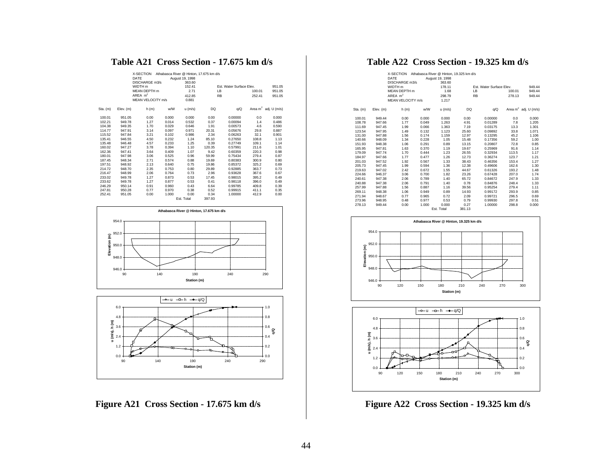# **Table A21 Cross Section - 17.675 km d/s**

|            |           | X-SECTION<br>DATE<br>DISCHARGE m3/s |       | Athabasca River @ Hinton, 17,675 km d/s<br>August 19, 1998<br>363.60 |           |                          |        |                         |
|------------|-----------|-------------------------------------|-------|----------------------------------------------------------------------|-----------|--------------------------|--------|-------------------------|
|            |           | WIDTH <sub>m</sub>                  |       | 152.41                                                               |           | Est. Water Surface Elev. |        | 951.05                  |
|            |           | MFAN DEPTH m                        |       | 2.71                                                                 | LB        |                          | 100.01 | 951.05                  |
|            |           | AREA $m2$                           |       | 412.85                                                               | <b>RB</b> |                          | 252.41 | 951.05                  |
|            |           | MEAN VELOCITY m/s                   |       | 0.881                                                                |           |                          |        |                         |
|            |           |                                     |       |                                                                      |           |                          |        |                         |
| $Sta.$ (m) | Elev. (m) | h(m)                                | w/W   | $u$ (m/s)                                                            | DQ        | q/Q                      |        | Area $m^2$ adj. U (m/s) |
| 100.01     | 951.05    | 0.00                                | 0.000 | 0.000                                                                | 0.00      | 0.00000                  | 0.0    | 0.000                   |
| 102.21     | 949.78    | 1.27                                | 0.014 | 0.532                                                                | 0.37      | 0.00094                  | 1.4    | 0.486                   |
| 104.38     | 949.35    | 1.70                                | 0.029 | 0.646                                                                | 1.91      | 0.00573                  | 4.6    | 0.590                   |
| 114.77     | 947.91    | 3.14                                | 0.097 | 0.971                                                                | 20.31     | 0.05676                  | 29.8   | 0.887                   |
| 115.52     | 947.84    | 3.21                                | 0.102 | 0.986                                                                | 2.34      | 0.06263                  | 32.1   | 0.901                   |
| 135.41     | 946.55    | 4.50                                | 0.232 | 1.24                                                                 | 85.10     | 0.27650                  | 108.8  | 1.13                    |
| 135.48     | 946.48    | 4.57                                | 0.233 | 1.25                                                                 | 0.39      | 0.27749                  | 109.1  | 1.14                    |
| 160.02     | 947.27    | 3.78                                | 0.394 | 1.10                                                                 | 120.35    | 0.57991                  | 211.6  | 1.01                    |
| 162.36     | 947.41    | 3.64                                | 0.409 | 1.07                                                                 | 9.42      | 0.60359                  | 220.3  | 0.98                    |
| 180.01     | 947.98    | 3.06                                | 0.525 | 0.96                                                                 | 59.99     | 0.75434                  | 279.4  | 0.87                    |
| 187.45     | 948.34    | 2.71                                | 0.574 | 0.88                                                                 | 19.69     | 0.80383                  | 300.9  | 0.80                    |
| 197.51     | 948.92    | 2.13                                | 0.640 | 0.75                                                                 | 19.86     | 0.85372                  | 325.2  | 0.69                    |
| 214.72     | 948.70    | 2.35                                | 0.753 | 0.80                                                                 | 29.89     | 0.92885                  | 363.7  | 0.73                    |
| 216.47     | 948.99    | 2.06                                | 0.764 | 0.73                                                                 | 2.96      | 0.93628                  | 367.6  | 0.67                    |
| 233.02     | 949.78    | 1.27                                | 0.873 | 0.53                                                                 | 17.45     | 0.98015                  | 395.2  | 0.49                    |
| 233.62     | 949.78    | 1.27                                | 0.877 | 0.53                                                                 | 0.41      | 0.98118                  | 396.0  | 0.49                    |
| 246.29     | 950.14    | 0.91                                | 0.960 | 0.43                                                                 | 6.64      | 0.99785                  | 409.8  | 0.39                    |
| 247.81     | 950.28    | 0.77                                | 0.970 | 0.38                                                                 | 0.52      | 0.99915                  | 411.1  | 0.35                    |
| 252.41     | 951.05    | 0.00                                | 1.000 | 0.00                                                                 | 0.34      | 1.00000                  | 412.9  | 0.00                    |
|            |           |                                     |       | Est. Total                                                           | 397.93    |                          |        |                         |





**Figure A21 Cross Section - 17.675 km d/s**

# **Table A22 Cross Section - 19.325 km d/s**

|          |           | X-SECTION<br>DATE  |       | Athabasca River @ Hinton, 19.325 km d/s<br>August 19, 1998 |        |                          |        |                         |
|----------|-----------|--------------------|-------|------------------------------------------------------------|--------|--------------------------|--------|-------------------------|
|          |           | DISCHARGE m3/s     |       | 363.60                                                     |        |                          |        |                         |
|          |           | WIDTH <sub>m</sub> |       | 178.11                                                     |        | Est. Water Surface Elev. |        | 949.44                  |
|          |           | MEAN DEPTH m       |       | 1.68                                                       |        | LB                       | 100.01 | 949.44                  |
|          |           | AREA $m2$          |       | 298.79                                                     |        | <b>RB</b>                | 278.13 | 949.44                  |
|          |           | MEAN VELOCITY m/s  |       | 1.217                                                      |        |                          |        |                         |
| Sta. (m) | Elev. (m) | h(m)               | w/W   | $u$ (m/s)                                                  | DQ     | q/Q                      |        | Area $m^2$ adj. U (m/s) |
| 100.01   | 949.44    | 0.00               | 0.000 | 0.000                                                      | 0.00   | 0.00000                  | 0.0    | 0.000                   |
| 108.78   | 947.66    | 1.77               | 0.049 | 1.263                                                      | 4.91   | 0.01289                  | 7.8    | 1.205                   |
| 111.69   | 947.45    | 1.99               | 0.066 | 1.363                                                      | 7.19   | 0.03175                  | 13.3   | 1.301                   |
| 123.54   | 947.95    | 1.49               | 0.132 | 1.123                                                      | 25.60  | 0.09892                  | 33.8   | 1.071                   |
| 131.00   | 947.88    | 1.56               | 0.174 | 1.159                                                      | 12.97  | 0.13295                  | 45.2   | 1.106                   |
| 140.66   | 948.09    | 1.34               | 0.228 | 1.05                                                       | 15.48  | 0.17356                  | 59.2   | 1.00                    |
| 151.93   | 948.38    | 1.06               | 0.291 | 0.89                                                       | 13.15  | 0.20807                  | 72.8   | 0.85                    |
| 165.95   | 947.81    | 1.63               | 0.370 | 1.19                                                       | 19.67  | 0.25969                  | 91.6   | 1.14                    |
| 179.09   | 947.74    | 1.70               | 0.444 | 1.23                                                       | 26.55  | 0.32934                  | 113.5  | 1.17                    |
| 184.97   | 947.66    | 1.77               | 0.477 | 1.26                                                       | 12.73  | 0.36274                  | 123.7  | 1.21                    |
| 201.03   | 947.52    | 1.92               | 0.567 | 1.33                                                       | 38.43  | 0.46356                  | 153.4  | 1.27                    |
| 205.73   | 947.45    | 1.99               | 0.594 | 1.36                                                       | 12.38  | 0.49606                  | 162.6  | 1.30                    |
| 219.63   | 947.02    | 2.42               | 0.672 | 1.55                                                       | 44.67  | 0.61326                  | 193.2  | 1.48                    |
| 224.66   | 946.37    | 3.06               | 0.700 | 1.82                                                       | 23.26  | 0.67428                  | 207.0  | 1.74                    |
| 240.61   | 947.38    | 2.06               | 0.789 | 1.40                                                       | 65.72  | 0.84672                  | 247.9  | 1.33                    |
| 240.88   | 947.38    | 2.06               | 0.791 | 1.40                                                       | 0.78   | 0.84876                  | 248.4  | 1.33                    |
| 257.99   | 947.88    | 1.56               | 0.887 | 1.16                                                       | 39.56  | 0.95254                  | 279.4  | 1.11                    |
| 269.11   | 948.38    | 1.06               | 0.949 | 0.89                                                       | 14.93  | 0.99172                  | 293.9  | 0.85                    |
| 271.94   | 948.67    | 0.77               | 0.965 | 0.72                                                       | 2.09   | 0.99721                  | 296.5  | 0.69                    |
| 273.96   | 948.95    | 0.48               | 0.977 | 0.53                                                       | 0.79   | 0.99930                  | 297.8  | 0.51                    |
| 278.13   | 949.44    | 0.00               | 1.000 | 0.000                                                      | 0.27   | 1.00000                  | 298.8  | 0.000                   |
|          |           |                    |       | Est. Total                                                 | 381.13 |                          |        |                         |





**Figure A22 Cross Section - 19.325 km d/s**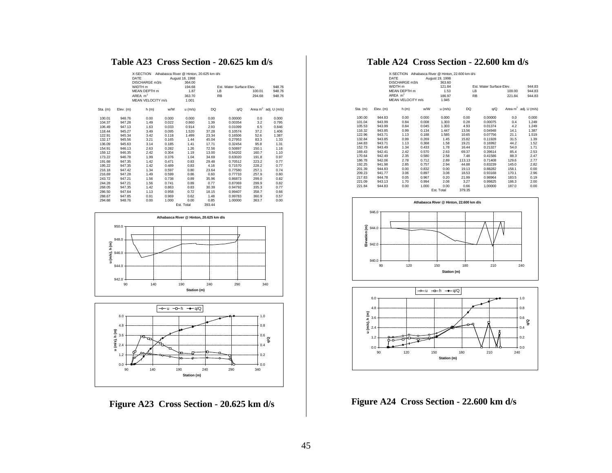# **Table A23 Cross Section - 20.625 km d/s**

|            |           | X-SECTION<br>DATE<br>DISCHARGE m3/s |       | Athabasca River @ Hinton, 20,625 km d/s<br>August 18, 1998<br>364.00 |           |                          |        |                         |
|------------|-----------|-------------------------------------|-------|----------------------------------------------------------------------|-----------|--------------------------|--------|-------------------------|
|            |           | WIDTH <sub>m</sub>                  |       | 194.68                                                               |           | Est. Water Surface Elev. |        | 948.76                  |
|            |           | MEAN DEPTH m                        |       | 1.87                                                                 | LB        |                          | 100.01 | 948.76                  |
|            |           | AREA $m2$                           |       | 363.70                                                               | <b>RB</b> |                          | 294.68 | 948.76                  |
|            |           | MEAN VELOCITY m/s                   |       | 1.001                                                                |           |                          |        |                         |
| $Sta.$ (m) | Elev. (m) | h(m)                                | w/W   | $u$ (m/s)                                                            | DQ        | q/Q                      |        | Area $m^2$ adj. U (m/s) |
| 100.01     | 948.76    | 0.00                                | 0.000 | 0.000                                                                | 0.00      | 0.00000                  | 0.0    | 0.000                   |
| 104.37     | 947.28    | 1.49                                | 0.022 | 0.860                                                                | 1.39      | 0.00354                  | 3.2    | 0.795                   |
| 106.49     | 947.13    | 1.63                                | 0.033 | 0.914                                                                | 2.93      | 0.01099                  | 6.5    | 0.846                   |
| 118.44     | 945.27    | 3.49                                | 0.095 | 1.520                                                                | 37.28     | 0.10574                  | 37.2   | 1.406                   |
| 122.91     | 945.34    | 3.42                                | 0.118 | 1.499                                                                | 23.34     | 0.16506                  | 52.6   | 1.387                   |
| 132.17     | 945.56    | 3.21                                | 0.165 | 1.44                                                                 | 45.04     | 0.27953                  | 83.3   | 1.33                    |
| 136.09     | 945.63    | 3.14                                | 0.185 | 1.41                                                                 | 17.71     | 0.32454                  | 95.8   | 1.31                    |
| 154.91     | 946.13    | 2.63                                | 0.282 | 1.26                                                                 | 72.56     | 0.50897                  | 150.1  | 1.16                    |
| 159.12     | 946.35    | 2.42                                | 0.304 | 1.19                                                                 | 13.00     | 0.54202                  | 160.7  | 1.10                    |
| 173.22     | 946.78    | 1.99                                | 0.376 | 1.04                                                                 | 34.69     | 0.63020                  | 191.8  | 0.97                    |
| 191.68     | 947.35    | 1.42                                | 0.471 | 0.83                                                                 | 29.48     | 0.70512                  | 223.2  | 0.77                    |
| 195.22     | 947.35    | 1.42                                | 0.489 | 0.83                                                                 | 4.16      | 0.71570                  | 228.2  | 0.77                    |
| 216.18     | 947.42    | 1.34                                | 0.597 | 0.80                                                                 | 23.64     | 0.77580                  | 257.1  | 0.74                    |
| 216.69     | 947.28    | 1.49                                | 0.599 | 0.86                                                                 | 0.60      | 0.77733                  | 257.9  | 0.80                    |
| 243.72     | 947.21    | 1.56                                | 0.738 | 0.89                                                                 | 35.96     | 0.86873                  | 299.0  | 0.82                    |
| 244.28     | 947.21    | 1.56                                | 0.741 | 0.89                                                                 | 0.77      | 0.87069                  | 299.9  | 0.82                    |
| 268.05     | 947.35    | 1.42                                | 0.863 | 0.83                                                                 | 30.39     | 0.94792                  | 335.3  | 0.77                    |
| 286.50     | 947.64    | 1.13                                | 0.958 | 0.72                                                                 | 18.15     | 0.99407                  | 358.7  | 0.66                    |
| 288.67     | 947.85    | 0.91                                | 0.969 | 0.62                                                                 | 1.48      | 0.99783                  | 360.9  | 0.57                    |
| 294.68     | 948.76    | 0.00                                | 1.000 | 0.00                                                                 | 0.85      | 1.00000                  | 363.7  | 0.00                    |
|            |           |                                     |       | Est. Total                                                           | 393.44    |                          |        |                         |





**Figure A23 Cross Section - 20.625 km d/s**

# **Table A24 Cross Section - 22.600 km d/s**

|          |           | X-SECTION Athabasca River @ Hinton, 22.600 km d/s<br>DATE |       | August 19, 1998 |           |                          |        |                         |
|----------|-----------|-----------------------------------------------------------|-------|-----------------|-----------|--------------------------|--------|-------------------------|
|          |           | DISCHARGE m3/s                                            |       | 363.60          |           |                          |        |                         |
|          |           | WIDTH m                                                   |       | 121.84          |           | Est. Water Surface Elev. |        | 944.83                  |
|          |           | MFAN DEPTH m                                              |       | 1.53            | LB        |                          | 100.00 | 944.83                  |
|          |           | AREA $m2$                                                 |       | 186.97          | <b>RB</b> |                          | 221.84 | 944.83                  |
|          |           | MEAN VELOCITY m/s                                         |       | 1.945           |           |                          |        |                         |
| Sta. (m) | Elev. (m) | h(m)                                                      | w/W   | $u$ (m/s)       | DQ        | q/Q                      |        | Area $m^2$ adj. U (m/s) |
| 100.00   | 944.83    | 0.00                                                      | 0.000 | 0.000           | 0.00      | 0.00000                  | 0.0    | 0.000                   |
| 101.04   | 943.99    | 0.84                                                      | 0.008 | 1.303           | 0.28      | 0.00075                  | 0.4    | 1.249                   |
| 105.53   | 943.99    | 0.84                                                      | 0.045 | 1.303           | 4.93      | 0.01374                  | 4.2    | 1.249                   |
| 116.32   | 943.85    | 0.99                                                      | 0.134 | 1.447           | 13.56     | 0.04948                  | 14.1   | 1.387                   |
| 122.96   | 943.71    | 1.13                                                      | 0.188 | 1.585           | 10.65     | 0.07756                  | 21.1   | 1.519                   |
| 132.84   | 943.85    | 0.99                                                      | 0.269 | 1.45            | 15.82     | 0.11928                  | 31.5   | 1.39                    |
| 144.83   | 943.71    | 1.13                                                      | 0.368 | 1.58            | 19.21     | 0.16992                  | 44.2   | 1.52                    |
| 152.73   | 943.49    | 1.34                                                      | 0.433 | 1.78            | 16.44     | 0.21327                  | 54.0   | 1.71                    |
| 169.43   | 942.41    | 2.42                                                      | 0.570 | 2.63            | 69.37     | 0.39614                  | 85.4   | 2.53                    |
| 170.64   | 942.49    | 2.35                                                      | 0.580 | 2.58            | 7.48      | 0.41586                  | 88.3   | 2.47                    |
| 186.78   | 942.06    | 2.78                                                      | 0.712 | 2.89            | 113.13    | 0.71408                  | 129.6  | 2.77                    |
| 192.25   | 941.98    | 2.85                                                      | 0.757 | 2.94            | 44.88     | 0.83239                  | 145.0  | 2.82                    |
| 201.39   | 944.83    | 0.00                                                      | 0.832 | 0.00            | 19.13     | 0.88282                  | 158.1  | 0.00                    |
| 209.23   | 941.77    | 3.06                                                      | 0.897 | 3.08            | 18.53     | 0.93168                  | 170.1  | 2.96                    |
| 217.83   | 944.78    | 0.05                                                      | 0.967 | 0.20            | 21.99     | 0.98964                  | 183.5  | 0.19                    |
| 221.09   | 943.13    | 1.70                                                      | 0.994 | 2.08            | 3.27      | 0.99825                  | 186.3  | 2.00                    |
| 221.84   | 944.83    | 0.00                                                      | 1.000 | 0.00            | 0.66      | 1.00000                  | 187.0  | 0.00                    |
|          |           |                                                           |       | Est. Total      | 379.35    |                          |        |                         |





**Figure A24 Cross Section - 22.600 km d/s**